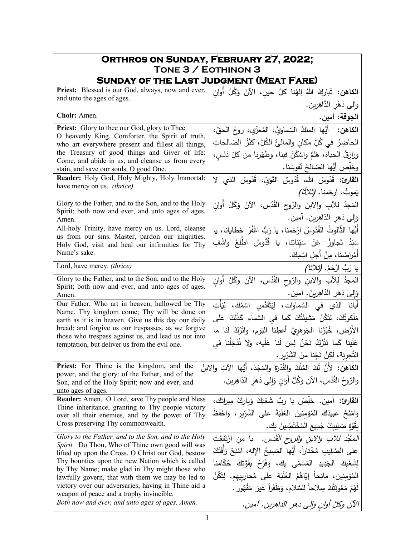| ORTHROS ON SUNDAY, FEBRUARY 27, 2022;                                                                       |                                                                                   |  |  |
|-------------------------------------------------------------------------------------------------------------|-----------------------------------------------------------------------------------|--|--|
| TONE 3 / EOTHINON 3<br>SUNDAY OF THE LAST JUDGMENT (MEAT FARE)                                              |                                                                                   |  |  |
| Priest: Blessed is our God, always, now and ever,                                                           | ا <b>لكاهن:</b> تَبارَكَ اللهُ إلهُنا كلَّ حين، الآنَ وَكُلَّ أُوان               |  |  |
| and unto the ages of ages.                                                                                  | وإلى دَهْرِ الدَّاهِرِينِ.                                                        |  |  |
| Choir: Amen.                                                                                                | ا <b>لجوقة:</b> آمين.                                                             |  |  |
| <b>Priest:</b> Glory to thee our God, glory to Thee.                                                        | الكاهن: أيُّها الملكُ السّماويُّ، المُعَزِّي، روحُ الحقِّ،                        |  |  |
| O heavenly King, Comforter, the Spirit of truth,                                                            | الحاضِرُ  في كُلِّ مكان والمالئُ الكُلَّ، كَنْزُ  الصّالحاتِ                      |  |  |
| who art everywhere present and fillest all things,<br>the Treasury of good things and Giver of life:        | ورازِقُ الحياة، هَلمَّ واسْكُنْ فينا، وطَهَّرنا من كلّ دَنَسٍ،                    |  |  |
| Come, and abide in us, and cleanse us from every                                                            | وخلِّص أيُّها الصّالحُ نُفوسَنا.                                                  |  |  |
| stain, and save our souls, O good One.<br>Reader: Holy God, Holy Mighty, Holy Immortal:                     | ا <b>لقارئ:</b> قُدّوسٌ الله، قُدّوسٌ القَوِيّ، قُدّوسٌ الذي لا                   |  |  |
| have mercy on us. (thrice)                                                                                  | يَموتُ، ارجَمنا. <i>(ثلاثًا)</i>                                                  |  |  |
| Glory to the Father, and to the Son, and to the Holy                                                        | المَجدُ لِلآبِ والابنِ والرّوحِ القُدُس، الآنَ وَكُلَّ أَوانِ                     |  |  |
| Spirit; both now and ever, and unto ages of ages.                                                           | وَإِلَى دَهْرِ الدَّاهِرِينَ. آمين.                                               |  |  |
| Amen.<br>All-holy Trinity, have mercy on us. Lord, cleanse                                                  | أَيُّها الثَّالوثُ القُدّوسُ ارْحَمنا، يا رَبُّ اغْفُرْ خَطايانا، يا              |  |  |
| us from our sins. Master, pardon our iniquities.                                                            | سَيِّدُ تَجاوَزْ عَنْ سَيِّئَاتِنا، يا قُدُّوسُ اطَّلِعْ واشْفِ                   |  |  |
| Holy God, visit and heal our infirmities for Thy<br>Name's sake.                                            | أَمْراضَنا، مِنْ أَجلِ اسْمِكَ.                                                   |  |  |
| Lord, have mercy. (thrice)                                                                                  | يا رَبُّ ارْحَمْ. <i>(ثلاثا)</i>                                                  |  |  |
| Glory to the Father, and to the Son, and to the Holy                                                        | المَجدُ لِلأَبِ والابنِ والرّوحِ القُدُس، الآنَ وَكُلَّ أَوانِ                    |  |  |
| Spirit; both now and ever, and unto ages of ages.                                                           | وَإِلَى دَهْرِ الدَّاهِرِينَ. آمين.                                               |  |  |
| Amen.<br>Our Father, Who art in heaven, hallowed be Thy                                                     | أَبانا الذي في السَّماوات، لِيَتَقَدَّسِ اسْمُكَ، لِيَأْتِ                        |  |  |
| Name. Thy kingdom come; Thy will be done on                                                                 | مَلَكوتُكَ، لِتَكُنْ مَشيئَتُكَ كَما في السَّماءِ كَذَلِكَ عَلى                   |  |  |
| earth as it is in heaven. Give us this day our daily<br>bread; and forgive us our trespasses, as we forgive | الأَرْض، خُبْزَنا الجَوهَرِيَّ أعطِنا اليَوم، واتْرُكْ لَنا ما                    |  |  |
| those who trespass against us, and lead us not into                                                         | عَلَينا كَما نَتْرُكُ نَحْنُ لِمَن لَنا عَلَيه، وَلا تُذْخِلْنا في                |  |  |
| temptation, but deliver us from the evil one.                                                               | التَّجرِبَة، لَكِنْ نَجِّنا مِنَ الشِّرّيرِ .                                     |  |  |
| <b>Priest:</b> For Thine is the kingdom, and the                                                            | ا <b>لكاهن:</b> لأَنَّ لَكَ المُلْكَ والقُدْرَةَ والمَجْدَ، أَيُّها الآبُ والابنُ |  |  |
| power, and the glory: of the Father, and of the                                                             | والرّوحُ القُدُسِ، الآنَ وَكُلَّ أُوانٍ وَإِلَى دَهْرِ الدّاهِرِينِ.              |  |  |
| Son, and of the Holy Spirit; now and ever, and<br>unto ages of ages.                                        |                                                                                   |  |  |
| Reader: Amen. O Lord, save Thy people and bless                                                             | القارئ: آمين. خَلِّصْ يا رَبُّ شَعْبَكَ وَبارِكْ مِيراثَك،                        |  |  |
| Thine inheritance, granting to Thy people victory<br>over all their enemies, and by the power of Thy        | وَامْنَحْ عَبِيدَكَ المُؤْمِنِينَ الغَلَبَةَ على الشِّرِّيرِ، وَاحْفَظْ           |  |  |
| Cross preserving Thy commonwealth.                                                                          | بِقُوَّةٍ صَلِيبِكَ جَمِيعَ الْمُخْتَصِّينَ بِك.                                  |  |  |
| Glory to the Father, and to the Son, and to the Holy<br>Spirit. Do Thou, Who of Thine own good will was     | <i>المَجْدُ للأَبِ والابنِ والروح القُدُس.</i> يا مَنِ ارْتَفَعْتَ                |  |  |
| lifted up upon the Cross, O Christ our God, bestow                                                          | على الصَّلِيبِ مُخْتاراً، أَيُّها المَسِيحُ الإِله، امْنَحْ رَأَفَتَكَ            |  |  |
| Thy bounties upon the new Nation which is called<br>by Thy Name; make glad in Thy might those who           | لِشَعْبِكَ الْجَدِيدِ الْمُسَمّى بِك، وَفَرِّحْ بِقُوَّتِكَ حُكَّامَنا            |  |  |
| lawfully govern, that with them we may be led to                                                            | المُؤمِنِين، مانِحاً إِيّاهُمُ الغَلَبَةَ على مُحارِبِيهِم. لِتَكُنْ              |  |  |
| victory over our adversaries, having in Thine aid a<br>weapon of peace and a trophy invincible.             | لَهُمْ مَعُونَتُكَ سِلاحاً لِلسَّلامِ، وَظَفَراً غَيرَ مَقْهُورٍ .                |  |  |
| Both now and ever, and unto ages of ages. Amen.                                                             | الآنَ وكلَّ أوان وإلى دهر الداهرينِ. آمينِ.                                       |  |  |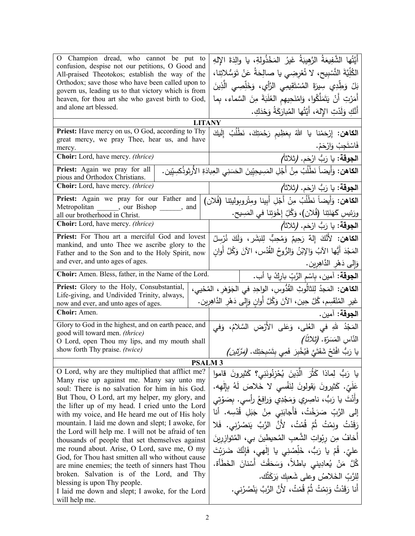| O Champion dread, who cannot be put to<br>confusion, despise not our petitions, O Good and<br>All-praised Theotokos; establish the way of the<br>Orthodox; save those who have been called upon to<br>govern us, leading us to that victory which is from<br>heaven, for thou art she who gavest birth to God,<br>and alone art blessed. | أَيَّتُها الشَّفِيعَةُ الرَّهِيبَةُ غَيرُ المَخْذُولةِ، يا والِدَةَ الإِلهِ<br>الكُلِّيَّةَ التَّسْبِيحِ، لا تُعْرِضِي يا صالِحَةُ عَنْ تَوَسُّلاتِنا،<br>بَلْ وَطِّدِي سِيرَةَ المُسْتَقِيمِي الرَّأْيِ، وَخَلِّصِي الَّذِينَ<br>أَمَرْتِ أَنْ يَتَمَلَّكُوا، وَامْنَحِيهِم الغَلَبَةَ مِنَ السَّماء، بِما |  |
|------------------------------------------------------------------------------------------------------------------------------------------------------------------------------------------------------------------------------------------------------------------------------------------------------------------------------------------|-------------------------------------------------------------------------------------------------------------------------------------------------------------------------------------------------------------------------------------------------------------------------------------------------------------|--|
|                                                                                                                                                                                                                                                                                                                                          | أَنَّكِ وَلَدْتِ الإِلهَ، أَيَّتُها المُبارَكَةُ وَحْدَكِ.                                                                                                                                                                                                                                                  |  |
|                                                                                                                                                                                                                                                                                                                                          | <b>LITANY</b>                                                                                                                                                                                                                                                                                               |  |
| Priest: Have mercy on us, O God, according to Thy<br>great mercy, we pray Thee, hear us, and have<br>mercy.                                                                                                                                                                                                                              | ا <b>لكاهن:</b> إِرْحَمْنا يا اللهُ بِعَظِيم رَحْمَتِكَ، نَطْلُبُ إِلَيكَ<br>فَاسْتَجِبْ وَارْحَمْ.                                                                                                                                                                                                         |  |
| Choir: Lord, have mercy. (thrice)                                                                                                                                                                                                                                                                                                        | ا <b>لجوقة:</b> يا رَبُّ ارْحَم. (ثلاثاً <i>)</i>                                                                                                                                                                                                                                                           |  |
| Priest: Again we pray for all<br>pious and Orthodox Christians.                                                                                                                                                                                                                                                                          | ا <b>لكاهن:</b> وَأَيضاً نَطْلُبُ مِنْ أَجْلِ المَسِيحِيّينَ الحَسَنِى العِبادَةِ الأُرثِوذُكسِيّين.                                                                                                                                                                                                        |  |
| <b>Choir:</b> Lord, have mercy. <i>(thrice)</i>                                                                                                                                                                                                                                                                                          | ا <b>لجوقة:</b> يا رَبُّ ارْحَم. (ثلاثاً <i>)</i>                                                                                                                                                                                                                                                           |  |
| Priest: Again we pray for our Father and                                                                                                                                                                                                                                                                                                 | الكاهن: وَأَيضاً نَطْلُبُ مِنْ أَجْلِ أَبِينا ومِتْروبوليتِنا (فُلان)                                                                                                                                                                                                                                       |  |
| Metropolitan ______, our Bishop ______, and<br>all our brotherhood in Christ.                                                                                                                                                                                                                                                            | ورَئِيسِ كَهَنَتِنا (فُلان)، وَكُلِّ إِخْوَتِنا في المَسِيحِ.                                                                                                                                                                                                                                               |  |
| Choir: Lord, have mercy. (thrice)                                                                                                                                                                                                                                                                                                        | ا <b>لجوقة:</b> يا رَبُّ ارْحَم. (ثلاثاً <i>)</i>                                                                                                                                                                                                                                                           |  |
| <b>Priest:</b> For Thou art a merciful God and lovest                                                                                                                                                                                                                                                                                    | ا <b>لكاهن:</b> لأَنَّكَ إِلهٌ رَحِيمٌ وَمُحِبٌّ لِلبَشَرِ ، وَلَكَ نُرْسلُ                                                                                                                                                                                                                                 |  |
| mankind, and unto Thee we ascribe glory to the<br>Father and to the Son and to the Holy Spirit, now                                                                                                                                                                                                                                      | المَجْدَ أَيُّها الآبُ وَالإِبْنُ وَالرُّوحُ القُدُسِ، الآنَ وَكُلَّ أُوانِ                                                                                                                                                                                                                                 |  |
| and ever, and unto ages of ages.                                                                                                                                                                                                                                                                                                         | وَإِلَى دَهْرِ الدَّاهِرِينِ.                                                                                                                                                                                                                                                                               |  |
| Choir: Amen. Bless, father, in the Name of the Lord.                                                                                                                                                                                                                                                                                     | ا <b>لجوقة</b> : آمين، باسْم الرَّبِّ باركْ يا أب.                                                                                                                                                                                                                                                          |  |
| Priest: Glory to the Holy, Consubstantial,                                                                                                                                                                                                                                                                                               | الكاهن: المَجدُ لِلثالُوثِ القُدُّوسِ، الواحِدِ في الجَوْهَرِ ، المُحْيي،                                                                                                                                                                                                                                   |  |
| Life-giving, and Undivided Trinity, always,<br>now and ever, and unto ages of ages.                                                                                                                                                                                                                                                      | غَيرِ المُنْقَسِم، كُلَّ حِين، الآنَ وَكُلَّ أُوانِ وَإِلى دَهْرِ الدَّاهِرِين.                                                                                                                                                                                                                             |  |
| Choir: Amen.                                                                                                                                                                                                                                                                                                                             | الجوقة: آمين.                                                                                                                                                                                                                                                                                               |  |
| Glory to God in the highest, and on earth peace, and                                                                                                                                                                                                                                                                                     | المَجْدُ للهِ في العُلى، وَعَلى الأَرْضِ السَّلامُ، وَفي                                                                                                                                                                                                                                                    |  |
| good will toward men. (thrice)<br>O Lord, open Thou my lips, and my mouth shall                                                                                                                                                                                                                                                          | النّاس المَسَرّة. <i>(ثلاثاً)</i>                                                                                                                                                                                                                                                                           |  |
| show forth Thy praise. (twice)                                                                                                                                                                                                                                                                                                           | يا رَبُّ افْتَحْ شَفَتَيَّ فَيُخْبِرَ فَمِي بِتَسْبِحَتِك. <i>(مَرَّتَين)</i>                                                                                                                                                                                                                               |  |
|                                                                                                                                                                                                                                                                                                                                          | <b>PSALM3</b>                                                                                                                                                                                                                                                                                               |  |
| O Lord, why are they multiplied that afflict me?                                                                                                                                                                                                                                                                                         | يا رَبُّ لِماذا كَثُرَ الَّذِينَ يُحْزِنُونَنِي؟ كَثيرونَ قاموا                                                                                                                                                                                                                                             |  |
| Many rise up against me. Many say unto my                                                                                                                                                                                                                                                                                                | عَلَيّ. كَثيرونَ يَقولونَ لِنَفْسي لا خَلاصَ لَهُ بِإِلْهِه.                                                                                                                                                                                                                                                |  |
| soul: There is no salvation for him in his God.<br>But Thou, O Lord, art my helper, my glory, and                                                                                                                                                                                                                                        | وأَنْتَ يا رَبُّ، ناصِرِي وَمَجْدِي وَرافِعُ رأسي. بصَوْتي                                                                                                                                                                                                                                                  |  |
| the lifter up of my head. I cried unto the Lord                                                                                                                                                                                                                                                                                          |                                                                                                                                                                                                                                                                                                             |  |
| with my voice, and He heard me out of His holy                                                                                                                                                                                                                                                                                           | إِلَى الرَّبِّ صَرَخْتُ، فَأَجابَنِي مِنْ جَبَلِ قُدْسِه. أَنا                                                                                                                                                                                                                                              |  |
| mountain. I laid me down and slept; I awoke, for<br>the Lord will help me. I will not be afraid of ten                                                                                                                                                                                                                                   | رَقَدْتُ ونِمْتُ ثُمَّ قُمْتُ، لأَنَّ الرَّبَّ يَنصُرُنِي. فَلا                                                                                                                                                                                                                                             |  |
| thousands of people that set themselves against                                                                                                                                                                                                                                                                                          | أَخافُ مِن رِبْواتِ الشَّعبِ المُحيطينَ بي، المُتوازريِنَ                                                                                                                                                                                                                                                   |  |
| me round about. Arise, O Lord, save me, O my                                                                                                                                                                                                                                                                                             | عليّ. قُمْ يا رَبُّ، خَلِّصْنِي يا إِلْهِي، فَإِنَّكَ ضَرَبْتَ                                                                                                                                                                                                                                              |  |
| God, for Thou hast smitten all who without cause                                                                                                                                                                                                                                                                                         | كُلَّ مَنْ يُعادِيني باطلاً، وَسَحَقْتَ أَسْنانَ الخَطَأة.                                                                                                                                                                                                                                                  |  |
| are mine enemies; the teeth of sinners hast Thou<br>broken. Salvation is of the Lord, and Thy                                                                                                                                                                                                                                            |                                                                                                                                                                                                                                                                                                             |  |
| blessing is upon Thy people.                                                                                                                                                                                                                                                                                                             | لِلرَّبِّ الْخَلاصُ وعلى شَعبك بَرَكَتُك.                                                                                                                                                                                                                                                                   |  |
| I laid me down and slept; I awoke, for the Lord                                                                                                                                                                                                                                                                                          | أَنا رَقَدْتُ وَنِمْتُ ثُمَّ قُمْتُ، لأَنَّ الرَّبَّ يَنْصُرُني.                                                                                                                                                                                                                                            |  |
| will help me.                                                                                                                                                                                                                                                                                                                            |                                                                                                                                                                                                                                                                                                             |  |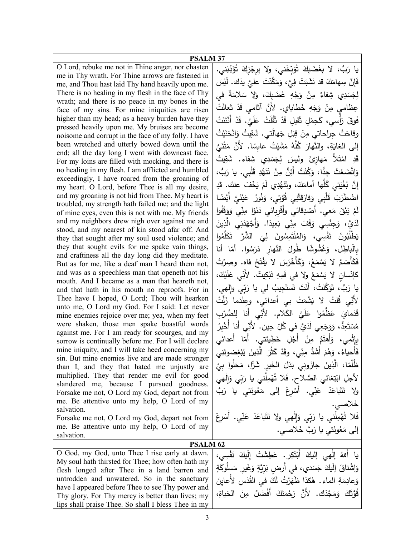lips shall praise Thee. So shall I bless Thee in my

'n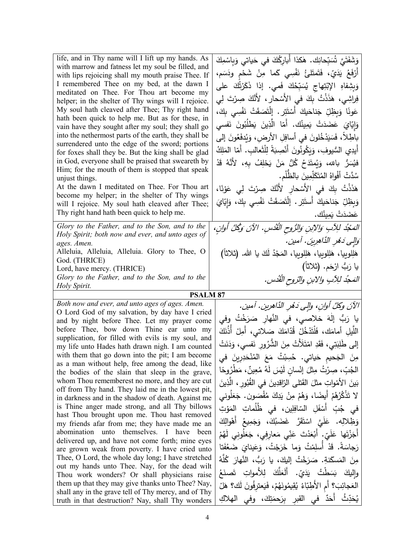| life, and in Thy name will I lift up my hands. As<br>with marrow and fatness let my soul be filled, and<br>with lips rejoicing shall my mouth praise Thee. If<br>I remembered Thee on my bed, at the dawn I<br>meditated on Thee. For Thou art become my<br>helper; in the shelter of Thy wings will I rejoice.<br>My soul hath cleaved after Thee; Thy right hand<br>hath been quick to help me. But as for these, in<br>vain have they sought after my soul; they shall go<br>into the nethermost parts of the earth, they shall be<br>surrendered unto the edge of the sword; portions<br>for foxes shall they be. But the king shall be glad<br>in God, everyone shall be praised that sweareth by<br>Him; for the mouth of them is stopped that speak<br>unjust things.<br>At the dawn I meditated on Thee. For Thou art<br>become my helper; in the shelter of Thy wings<br>will I rejoice. My soul hath cleaved after Thee;<br>Thy right hand hath been quick to help me. | وَشَفَتَيَّ شَبِّحانِك. هٰكذا أبارِكُكَ في حَياتي وَبِاسْمِكَ<br>أَرْفَعُ يَدَيِّ، فَتَمتَلَّئُ نَفْسِي كَما مِنْ شَحْمٍ ودَسَمٍ،<br>وَبِشِفاهِ الإِبْتِهاج يُسَبِّحُكَ فَمي. إذا ذَكَرْتُّكَ على<br>فِراشِي، هَذَذْتُ بِكَ في الأَسْحارِ ، لأَنَّكَ صِرْتَ لِي<br>عَونًا وَبِظِلِّ جَناحَيكَ أَسْتَتِر . إِنْتَصَقَتْ نَفْسِي بِكَ،<br>وَإِيّايَ عَضَدَتْ يَمِينُك. أَمّا الَّذِينَ يَطْلُبُونَ نَفسى<br>باطِلاً، فَسَيَدْخُلونَ في أسافِلِ الأرض، وَيُدفَعُونَ إلى<br>أَيدِي السُّيوفِ، وَيَكُونُونَ أَنْصِبَةً لِلْثَعالبِ. أَمّا المَلِكُ<br>فيُسَرُّ بالله، وَيُمتَدَحُ كُلُّ مَنْ يَحْلِفُ بِهِ، لأَنَّهُ قَدْ<br>سُدَّتْ أَفْواهُ المُتَكَلِّمِينَ بِالظَّلْمِ.<br>هَذَنْتُ بِكَ في الأَسْحارِ لأَنَّكَ صِرْتَ لِي عَوْنًا،<br>وَبِظِلِّ جَناحَيكَ أَستَتِر . اِلْتَصَقَتْ نَفْسِي بِكَ، وَإِيّايَ<br>عَضَدَتْ يَمِيثُك. |
|----------------------------------------------------------------------------------------------------------------------------------------------------------------------------------------------------------------------------------------------------------------------------------------------------------------------------------------------------------------------------------------------------------------------------------------------------------------------------------------------------------------------------------------------------------------------------------------------------------------------------------------------------------------------------------------------------------------------------------------------------------------------------------------------------------------------------------------------------------------------------------------------------------------------------------------------------------------------------------|---------------------------------------------------------------------------------------------------------------------------------------------------------------------------------------------------------------------------------------------------------------------------------------------------------------------------------------------------------------------------------------------------------------------------------------------------------------------------------------------------------------------------------------------------------------------------------------------------------------------------------------------------------------------------------------------------------------------------------------------------------------------------------------------------------------------------------|
| Glory to the Father, and to the Son, and to the<br>Holy Spirit; both now and ever, and unto ages of<br>ages. Amen.<br>Alleluia, Alleluia, Alleluia. Glory to Thee, O<br>God. (THRICE)<br>Lord, have mercy. (THRICE)<br>Glory to the Father, and to the Son, and to the<br>Holy Spirit.                                                                                                                                                                                                                                                                                                                                                                                                                                                                                                                                                                                                                                                                                           | المَجْدُ لِلِأَبِ وَالِإِبنِ وَالرَّوحِ الْقُدْسِ. الآنَ وَكُلَّ أُوانِ،<br>َ وَإِلَى دَهُرِ الذَّاهِرِينَ. آمين.<br>هَلِلوبِيا، هَلِلوبِيا، هَلِلوبِيا، المَجْدُ لَكَ يا الله. (ثلاثاً)<br>يا رَبُّ ارْحَم. (ثلاثاً)<br>المَجْد للِآبِ والابنِ والتروح القُدْس.                                                                                                                                                                                                                                                                                                                                                                                                                                                                                                                                                                |
| <b>PSALM 87</b>                                                                                                                                                                                                                                                                                                                                                                                                                                                                                                                                                                                                                                                                                                                                                                                                                                                                                                                                                                  |                                                                                                                                                                                                                                                                                                                                                                                                                                                                                                                                                                                                                                                                                                                                                                                                                                 |
| Both now and ever, and unto ages of ages. Amen.<br>O Lord God of my salvation, by day have I cried<br>and by night before Thee. Let my prayer come<br>before Thee, bow down Thine ear unto my<br>supplication, for filled with evils is my soul, and<br>my life unto Hades hath drawn nigh. I am counted<br>with them that go down into the pit; I am become                                                                                                                                                                                                                                                                                                                                                                                                                                                                                                                                                                                                                     | الآنَ وكلَّ أوانِ، وإلى دَهْرِ الدَّاهرينِ. آمين.<br>يا رَبُّ إلٰهَ خلاصي، في النَّهارِ صَرَخْتُ وفي<br>اللَّيلِ أمامَكَ، فَلْتَدْخُلْ قُدّامَكَ صَلاتي، أَمِلْ أَذُنَكَ<br>إلى طَلِبَتِي، فَقَدِ امْتَلَأَتْ مِنَ الشُّرُورِ نَفسي، وَدَنَتْ<br>مِنَ الْجَحيمِ حَياتي. حُسِبْتُ مَعَ الْمُنْحَدِرِينَ في                                                                                                                                                                                                                                                                                                                                                                                                                                                                                                                       |
| as a man without help, free among the dead, like<br>the bodies of the slain that sleep in the grave,<br>whom Thou rememberest no more, and they are cut<br>off from Thy hand. They laid me in the lowest pit,<br>in darkness and in the shadow of death. Against me<br>is Thine anger made strong, and all Thy billows<br>hast Thou brought upon me. Thou hast removed<br>my friends afar from me; they have made me an<br>abomination unto<br>themselves. I have<br>been<br>delivered up, and have not come forth; mine eyes<br>are grown weak from poverty. I have cried unto<br>Thee, O Lord, the whole day long; I have stretched<br>out my hands unto Thee. Nay, for the dead wilt<br>Thou work wonders? Or shall physicians raise<br>them up that they may give thanks unto Thee? Nay,                                                                                                                                                                                     | الْجُبِّ، صِرْتُ مِثْلَ إِنْسانٍ لَيْسَ لَهُ مُعِينٌ، مَطْرُوحًا<br>بَينَ الأَمْواتِ مثلَ القَتلى الرّاقدِينَ في القُبُورِ ، الَّذِينَ<br>لا تَذْكُرُهُمْ أَيضًا، وَهُمْ مِنْ يَدِكَ مُقْصَونٍ. جَعَلُونِي<br>في جُبِّ أَسْفَلِ السّافِلِين، في ظُلُماتِ المَوْتِ<br>وَظِلالِه. عَلَيَّ اسْتَقَرَّ غَضَبُكَ، وَجَمِيعُ أَهْوالِكَ<br>أَجَزْتَها عَلَيّ. أَبْعَدْتَ عَنِّي مَعارِفِي، جَعَلُونِي لَهُمْ<br>رَجاسَةً. قَدْ أَسلِمْتُ وَما خَرَجْتُ، وَعَينايَ ضَعُفَتا<br>مِنَ المَسكَنةِ. صَرَخْتُ إليكَ، يا رَبُّ، النَّهارَ كُلَّهُ<br>بَسَطْتُ يَدَيّ. أَلَعَلَّكَ لِلأَمواتِ تَصنَعُ<br>واليك                                                                                                                                                                                                                                |
| shall any in the grave tell of Thy mercy, and of Thy<br>truth in that destruction? Nay, shall Thy wonders                                                                                                                                                                                                                                                                                                                                                                                                                                                                                                                                                                                                                                                                                                                                                                                                                                                                        | العَجائِبَ؟ أَمِ الأَطِبّاءُ يُقِيمُونَهُمْ، فَيَعترِفُونَ لَك؟ هَلْ<br>يُحَدِّثُ أَحَدٌ في القبرِ بِرَحمَتِكَ، وفي الـهلاكِ                                                                                                                                                                                                                                                                                                                                                                                                                                                                                                                                                                                                                                                                                                    |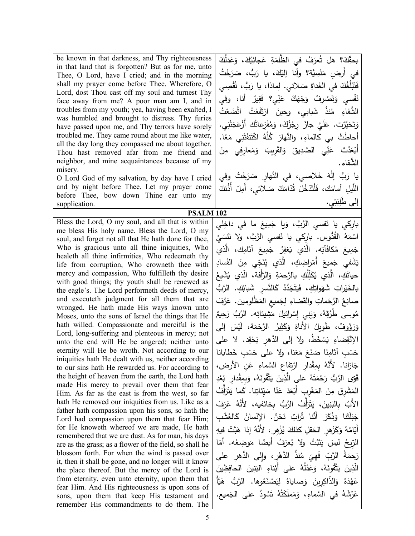| be known in that darkness, and Thy righteousness<br>in that land that is forgotten? But as for me, unto<br>Thee, O Lord, have I cried; and in the morning<br>shall my prayer come before Thee. Wherefore, O<br>Lord, dost Thou cast off my soul and turnest Thy<br>face away from me? A poor man am I, and in<br>troubles from my youth; yea, having been exalted, I<br>was humbled and brought to distress. Thy furies<br>have passed upon me, and Thy terrors have sorely<br>troubled me. They came round about me like water,<br>all the day long they compassed me about together.<br>Thou hast removed afar from me friend and<br>neighbor, and mine acquaintances because of my<br>misery.<br>O Lord God of my salvation, by day have I cried<br>and by night before Thee. Let my prayer come<br>before Thee, bow down Thine ear unto my<br>supplication.                                                                                                                                                                                                                                                                                                                                                                                                                                                                                                                                                                                                                                                                                                                                                                                           |                      | بِحقِّكَ؟ هل تُعرَفُ في الظَّلمَةِ عَجائِبُكَ، وَعَدلُكَ<br>في أرضٍ مَنْسِيَّة؟ وأنا إليْكَ، يا رَبُّ، صَرَخْتُ<br>فَتَبْلُغُكَ في الغَداةِ صَلاتي. لِماذا، يا رَبُّ، تُقْصِي<br>نَفْسى وَتَصْرِفُ وَجْهَكَ عَنِّى؟ فَقِيرٌ أنا، وفى<br>الشِّقاءِ مُنذُ شَبابي، وحينَ ارْتَفَعْتُ اتَّضَعْتُ<br>وَتَحَيَّرْت. عَلَيَّ جازَ رِجْزُكَ، وَمُفْزعاتُك أَزْعَجَتْنِي.<br>أَحاطَتْ بي كالماءِ، والنَّهارَ كُلَّهُ اكْتَنَفَتْنِي مَعًا.<br>أَبْعَدْتَ عَنِّي الصَّدِيقَ وَالقَرِيبَ وَمَعارِفِي مِنَ<br>الشَّقاءِ.<br>يا رَبُّ إلٰهَ خَلاصي، في النَّهارِ صَرَخْتُ وفي<br>اللَّيلِ أمامَكَ، فَلْتَذْخُلْ قُدّامَكَ صَلاتي، أَمِلْ أُذُنَكَ<br>إلى طُلِبَتِي.                                                                                                                                                                                                                                                                                                                                                                                                                                                                                                                                                                                                                                                                                                                                                                   |
|-----------------------------------------------------------------------------------------------------------------------------------------------------------------------------------------------------------------------------------------------------------------------------------------------------------------------------------------------------------------------------------------------------------------------------------------------------------------------------------------------------------------------------------------------------------------------------------------------------------------------------------------------------------------------------------------------------------------------------------------------------------------------------------------------------------------------------------------------------------------------------------------------------------------------------------------------------------------------------------------------------------------------------------------------------------------------------------------------------------------------------------------------------------------------------------------------------------------------------------------------------------------------------------------------------------------------------------------------------------------------------------------------------------------------------------------------------------------------------------------------------------------------------------------------------------------------------------------------------------------------------------------------------------|----------------------|--------------------------------------------------------------------------------------------------------------------------------------------------------------------------------------------------------------------------------------------------------------------------------------------------------------------------------------------------------------------------------------------------------------------------------------------------------------------------------------------------------------------------------------------------------------------------------------------------------------------------------------------------------------------------------------------------------------------------------------------------------------------------------------------------------------------------------------------------------------------------------------------------------------------------------------------------------------------------------------------------------------------------------------------------------------------------------------------------------------------------------------------------------------------------------------------------------------------------------------------------------------------------------------------------------------------------------------------------------------------------------------------------------------------------|
|                                                                                                                                                                                                                                                                                                                                                                                                                                                                                                                                                                                                                                                                                                                                                                                                                                                                                                                                                                                                                                                                                                                                                                                                                                                                                                                                                                                                                                                                                                                                                                                                                                                           | PSALM <sub>102</sub> |                                                                                                                                                                                                                                                                                                                                                                                                                                                                                                                                                                                                                                                                                                                                                                                                                                                                                                                                                                                                                                                                                                                                                                                                                                                                                                                                                                                                                          |
| Bless the Lord, O my soul, and all that is within<br>me bless His holy name. Bless the Lord, O my<br>soul, and forget not all that He hath done for thee,<br>Who is gracious unto all thine iniquities, Who<br>healeth all thine infirmities, Who redeemeth thy<br>life from corruption, Who crowneth thee with<br>mercy and compassion, Who fulfilleth thy desire<br>with good things; thy youth shall be renewed as<br>the eagle's. The Lord performeth deeds of mercy,<br>and executeth judgment for all them that are<br>wronged. He hath made His ways known unto<br>Moses, unto the sons of Israel the things that He<br>hath willed. Compassionate and merciful is the<br>Lord, long-suffering and plenteous in mercy; not<br>unto the end will He be angered; neither unto<br>eternity will He be wroth. Not according to our<br>iniquities hath He dealt with us, neither according<br>to our sins hath He rewarded us. For according to<br>the height of heaven from the earth, the Lord hath<br>made His mercy to prevail over them that fear<br>Him. As far as the east is from the west, so far<br>hath He removed our iniquities from us. Like as a<br>father hath compassion upon his sons, so hath the<br>Lord had compassion upon them that fear Him;<br>for He knoweth whereof we are made, He hath<br>remembered that we are dust. As for man, his days<br>are as the grass; as a flower of the field, so shall he<br>blossom forth. For when the wind is passed over<br>it, then it shall be gone, and no longer will it know<br>the place thereof. But the mercy of the Lord is<br>from eternity, even unto eternity, upon them that |                      | باركي يا نَفسي الرَّبَّ، وَيا جَمِيعَ ما في داخِلي<br>اسْمَهُ القُدُّوس. بارِكي يا نَفسي الرَّبَّ، ولا تَنسَيْ<br>جَمِيعَ مُكافَآتِه. الَّذي يَغفِرُ جَمِيعَ آثامِكَ، الَّذي<br>يَشْفي جَميعَ أَمْراضِكِ، الَّذي يُنَجِّى مِنَ الفَسادِ<br>حياتَكِ، الَّذي يُكَلِّلُكِ بالرَّحمَةِ وَالرَّأفة، الَّذي يُشْبِعُ<br>بالخَيْراتِ شَهَواتِكِ، فَيَتَجَدَّدُ كَالنَّسِرِ شَبابُكِ. الرَّبُ<br>صانِعُ الرَّحَماتِ والقَضاءِ لِجَميعِ المَظْلومينِ. عَرَّفَ<br>مُوسى طَرُقَهُ، وَبَنِي إِسْرائيلَ مَشِيئاتِه. الرَّبُّ رَحِيمٌ<br>وَرَؤُوفٌ، طَوِيلُ الأَناةِ وَكَثِيرُ الرَّحْمَة، لَيْسَ إِلى<br>الإِنْقِضاءِ يَسْخَطُ، ولا إلى الدَّهر يَحْقِد. لا على<br>حَسْبِ أَثَامِنَا صَنَعَ مَعَنا، ولا على حَسْبِ خَطايانا<br>جَازانا. لأنَّهُ بمِقْدار ارْتفاع السَّماءِ عَنِ الأرضِ،<br>قَوّى الرَّبُ رَحْمَتَهُ على الَّذِينَ يَتَّقُونَهُ، وَبِمِقْدار بُعْدِ<br>المَشْرِقِ مِنَ المَغْرِبِ أَبْعَدَ عَنّا سَيّئاتِنا. كَما يَتَرَأْفُ<br>الأَبُ بِالبَنِينَ، يَتَرَأَفُ الرَّبُّ بِخائفيه، لأَنَّهُ عَرَفَ<br>جَبْلَتَنا وَذَكَرَ أَنَّنا تُرابٌ نَحْنُ. الإِنْسانُ كَالغُشْب<br>أَيّامُهُ وَكَزَهر ۖ الحَقلِ كذلكَ يُزْهر ، لأَنَّهُ إذا هَبَّتْ فيهِ<br>الرَّبحُ ليسَ يَثْبُتُ ولا يُعرَفُ أيضًا مَوضِعُه. أمّا<br>رَحمَةُ الرَّبِّ فَهِيَ مُنذُ الدَّهْرِ ، وإلى الدَّهر على<br>الَّذِينَ يَتَّقُونَهُ، وَعَدْلَهُ على أَبْناءِ البَنِينَ<br>الحافظين<br>عَهْدَهُ وَالذَّاكِرِينَ وَصاياهُ لِيَصْنَعُوها.<br>الرَّبُّ هَيَّأ |
| fear Him. And His righteousness is upon sons of<br>sons, upon them that keep His testament and<br>remember His commandments to do them. The                                                                                                                                                                                                                                                                                                                                                                                                                                                                                                                                                                                                                                                                                                                                                                                                                                                                                                                                                                                                                                                                                                                                                                                                                                                                                                                                                                                                                                                                                                               |                      | عَرْشَهُ في السَّماءِ، وَمَملَكَتُهُ شَمُودُ على الجَميع.                                                                                                                                                                                                                                                                                                                                                                                                                                                                                                                                                                                                                                                                                                                                                                                                                                                                                                                                                                                                                                                                                                                                                                                                                                                                                                                                                                |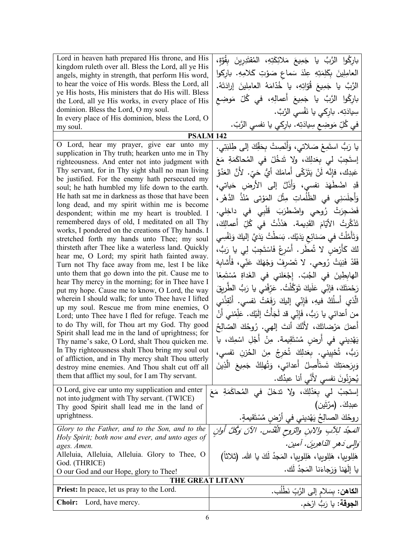| Lord in heaven hath prepared His throne, and His                                                          | بارِكُوا الرَّبَّ يا جَمِيعَ مَلائِكَتِهِ، المُقتَدِرِينَ بِقُوَّةٍ،     |
|-----------------------------------------------------------------------------------------------------------|--------------------------------------------------------------------------|
| kingdom ruleth over all. Bless the Lord, all ye His<br>angels, mighty in strength, that perform His word, | العامِلِينَ بِكَلِمَتِهِ عِنْدَ سَماعٍ صَوْتِ كَلامِهِ. بارِكوا          |
| to hear the voice of His words. Bless the Lord, all                                                       | الرَّبَّ يا جَمِيعَ قُوّاتِهِ، يا خُدّامَهُ العامِلِينَ إرادَتَهُ.       |
| ye His hosts, His ministers that do His will. Bless                                                       | بارِكُوا الرَّبَّ يا جَمِيعَ أَعمالِهِ، في كُلّ مَوضِع                   |
| the Lord, all ye His works, in every place of His<br>dominion. Bless the Lord, O my soul.                 |                                                                          |
| In every place of His dominion, bless the Lord, O                                                         | سِيادَتِه. بارِكي يا نَفْسي الرَّبَّ.                                    |
| my soul.                                                                                                  | في كُلِّ مَوضِعٍ سِيادَتِه. باركي يا نفسي الرَّبّ.                       |
| <b>PSALM 142</b>                                                                                          |                                                                          |
| O Lord, hear my prayer, give ear unto my<br>supplication in Thy truth; hearken unto me in Thy             | يا رَبُّ استَمِعْ صَلاتي، وَأَنْصِتْ بِحَقِّكَ إِلَى طِلْبَتِي.          |
| righteousness. And enter not into judgment with                                                           | إِستَجِبْ لي بِعَدلِكَ، ولا تَدخُلْ في المُحاكَمَةِ مَعَ                 |
| Thy servant, for in Thy sight shall no man living                                                         | عَبدِك، فإِنَّه لَنْ يَتَزَكَّى أَمامَكَ أَيُّ حَيّ. لأَنَّ العَدُوَّ    |
| be justified. For the enemy hath persecuted my<br>soul; he hath humbled my life down to the earth.        | قَدِ اضْطُهَدَ نفسي، وَأَذَلَّ إلى الأرض حَياتي،                         |
| He hath sat me in darkness as those that have been                                                        | وَأَجلَسَنِي في الظُلُماتِ مِثْلَ المَوْتي مُنْذُ الدَّهْرِ ،            |
| long dead, and my spirit within me is become                                                              |                                                                          |
| despondent; within me my heart is troubled. I                                                             | فَضَجِرَتْ رُوحي واضْطرَبَ قَلْبِي في داخِلي.                            |
| remembered days of old, I meditated on all Thy<br>works, I pondered on the creations of Thy hands. I      | تَذَكَّرتُ   الأَيّامَ   القَدِيمة.    هَذَذْتُ   في   كُلِّ   أعمالِكَ، |
| stretched forth my hands unto Thee; my soul                                                               | وَتَأَمَّلْتُ في صَنائِعٍ يَدَيْك. بَسَطْتُ يَدَيَّ إِليكَ وَنَفْسِي     |
| thirsteth after Thee like a waterless land. Quickly                                                       | لكَ كَأَرْضٍ لا تُمطَّرٍ . أَسْرِعْ فَاسْتَجِبْ لِي يا رَبُّ،            |
| hear me, O Lord; my spirit hath fainted away.<br>Turn not Thy face away from me, lest I be like           | فَقَدْ فَنِيَتْ رُوحي. لا تَصْرِفْ وَجْهَكَ عَنِّي، فَأَشابِهَ           |
| unto them that go down into the pit. Cause me to                                                          | الهابِطِينَ في الجُبِّ. إِجْعَلني في الغَداةِ مُسْتَمِعًا                |
| hear Thy mercy in the morning; for in Thee have I                                                         | رَحْمَتَكَ، فإنِّي عَلَيكَ تَوَكَّلْتُ. عَرَّفْني يا رَبُّ الطَّرِيقَ    |
| put my hope. Cause me to know, O Lord, the way<br>wherein I should walk; for unto Thee have I lifted      |                                                                          |
| up my soul. Rescue me from mine enemies, O                                                                | الَّذي أَسلَكُ فيهِ، فَإِنِّي إِليكَ رَفَعْتُ نَفسي. أَنْقِذْني          |
| Lord; unto Thee have I fled for refuge. Teach me                                                          | من أعدائي يا رَبٌّ، فَإِنِّي قد لَجَأتُ إِلَيْك. عَلِّمْني أَنْ          |
| to do Thy will, for Thou art my God. Thy good<br>Spirit shall lead me in the land of uprightness; for     | أَعمَلَ مَرْضاتَكَ، لأَنَّكَ أنتَ إلهي. رُوحُكَ الصّالِحُ                |
| Thy name's sake, O Lord, shalt Thou quicken me.                                                           | يَهْدِيني في أَرضِ مُسْتَقِيمة. مِنْ أَجْلِ اسْمِكَ، يا                  |
| In Thy righteousness shalt Thou bring my soul out                                                         | رَبٌّ، تُحْيِيني. بِعَدلِكَ تُحْرِجُ مِنَ الْحُزنِ نَفْسِي،              |
| of affliction, and in Thy mercy shalt Thou utterly<br>destroy mine enemies. And Thou shalt cut off all    | وَبِرَحمَتِكَ شَىتَأْصِلُ أَعدائى، وَتُهلِكُ جَمِيعَ الَّذِينَ           |
| them that afflict my soul, for I am Thy servant.                                                          | يُحزِثُونَ نفسي لأَنَّي أنا عبدُك.                                       |
| O Lord, give ear unto my supplication and enter                                                           |                                                                          |
| not into judgment with Thy servant. (TWICE)                                                               | إِستجِبْ لِي بِعَدْلِكَ، ولا تدخلْ في المُحاكَمَةِ مَعَ                  |
| Thy good Spirit shall lead me in the land of                                                              | عبدِكَ. (مرّتَين)                                                        |
| uprightness.                                                                                              | روحُكَ الصالِحُ يَهْديني في أَرْضٍ مُسْتَقيمةٍ.                          |
| Glory to the Father, and to the Son, and to the                                                           | المَحِدُ للِآبِ والابنِ والرّوحِ الْقُدْسِ. الآنَ وَكُلَّ أُولنِ         |
| Holy Spirit; both now and ever, and unto ages of<br>ages. Amen.                                           | وَالِي دَهرِ الدّاهِرِينَ. آمين.                                         |
| Alleluia, Alleluia, Alleluia. Glory to Thee, O                                                            | هَلِلوبِيا، هَلِلوبِيا، هَلِلوبِيا، المَجدُ لَكَ يا الله. (ثلاثاً)       |
| God. (THRICE)                                                                                             | يا إِلْهَنا وَرَجاءَنا المَجدُ لَك.                                      |
| O our God and our Hope, glory to Thee!<br>THE GREAT LITANY                                                |                                                                          |
| <b>Priest:</b> In peace, let us pray to the Lord.                                                         | ا <b>لكاهن:</b> بِسَلام إلى الرَّبِّ نَطْلَب.                            |
| <b>Choir:</b><br>Lord, have mercy.                                                                        | ا <b>لجوقة:</b> يا رَبُّ ارْحَم.                                         |
|                                                                                                           |                                                                          |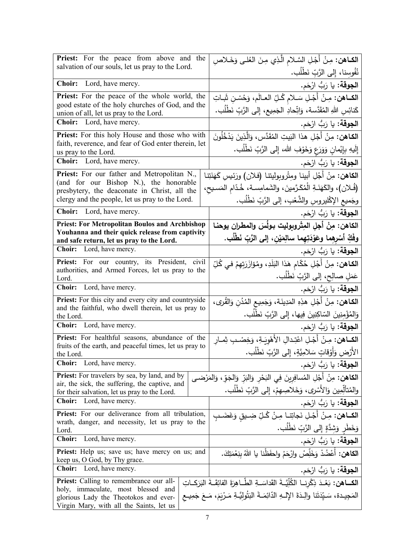| Priest: For the peace from above and the<br>salvation of our souls, let us pray to the Lord.             | ا <b>لكــاهن:</b> مِـنْ أَجْـلِ السَّـلام الَّـذِي مِـنَ العُلـى وَخَـلاصِ<br>نُفُوسِنا، إِلى الرَّبِّ نَطْلُب. |  |  |
|----------------------------------------------------------------------------------------------------------|-----------------------------------------------------------------------------------------------------------------|--|--|
| Choir: Lord, have mercy.                                                                                 | ا <b>لجوقة:</b> يا رَبُّ ارْحَم.                                                                                |  |  |
| <b>Priest:</b> For the peace of the whole world, the                                                     | ا <b>لكــاهن:</b> مِـنْ أَجْـلِ سَــلام كُـلِّ العـالَم، وَحُسْـنِ شَبِـاتِ                                     |  |  |
| good estate of the holy churches of God, and the<br>union of all, let us pray to the Lord.               | كَنائِسِ اللهِ المُقَدَّسة، وَاتِّحادِ الجَمِيعِ، إِلى الرَّبِّ نَطْلُب.                                        |  |  |
| Choir: Lord, have mercy.                                                                                 | ا <b>لجوقة:</b> يا رَبُّ ارْحَم.                                                                                |  |  |
| Priest: For this holy House and those who with                                                           | ا <b>لكـاهن:</b> مِنْ أَجْلِ هذا البَيتِ المُقَدَّسِ، وَالَّذِينَ يَدْخُلُونَ                                   |  |  |
| faith, reverence, and fear of God enter therein, let                                                     | إِلَيهِ بِإِيْمانِ وَوَرَعٍ وَخَوْفِ الله، إِلى الرَّبِّ نَطْلُب.                                               |  |  |
| us pray to the Lord.<br><b>Choir:</b> Lord, have mercy.                                                  |                                                                                                                 |  |  |
|                                                                                                          | ا <b>لجوقة:</b> يا رَبُّ ارْحَم.                                                                                |  |  |
| Priest: For our father and Metropolitan N.,<br>(and for our Bishop N.), the honorable                    | الكاهن: مِنْ أَجْلِ أبينا ومِتْروبوليتنا (فلان) ورَئيسِ كَهَنَتِنا                                              |  |  |
| presbytery, the deaconate in Christ, all the                                                             | (فُـلان)، والكَهَنَـةِ الْمُكَـرَّمينَ، والشَمامِسـة، خُـدّام المَسـيح،                                         |  |  |
| clergy and the people, let us pray to the Lord.                                                          | وجَميعِ الإكْليروسِ والشَّعْبِ، إلى الرَّبِّ نَطْلُبٍ.                                                          |  |  |
| Choir: Lord, have mercy.                                                                                 | ا <b>لجوقة:</b> يا رَبُّ ارْحَم.                                                                                |  |  |
| <b>Priest: For Metropolitan Boulos and Archbishop</b><br>Youhanna and their quick release from captivity | الكاهن: مِنْ أجلِ المِتْروبوليت بولُسَ والمطران يوحنـا                                                          |  |  |
| and safe return, let us pray to the Lord.                                                                | وفَكِّ أسْرِهِما وعَوْدَتِهِما سالِمَيْنِ، إلى الرَّبِّ نَطْلُب.                                                |  |  |
| <b>Choir:</b> Lord, have mercy.                                                                          | ا <b>لجوقة:</b> يا رَبُّ ارْحَم.                                                                                |  |  |
| Priest: For our country, its President, civil                                                            | ا <b>لكـاهن:</b> مِنْ أَجْلِ حُكّام هَذا البَلَدِ، ومُؤازَرَتِهِمْ في كُلِّ                                     |  |  |
| authorities, and Armed Forces, let us pray to the<br>Lord.                                               | عَمَلٍ صالِحٍ، إلى الرَّبِّ نَطْلُبٍ.                                                                           |  |  |
| Choir: Lord, have mercy.                                                                                 | ا <b>لجوقة:</b> يا رَبُّ ارْحَم.                                                                                |  |  |
| Priest: For this city and every city and countryside                                                     | ا <b>لكـاهن:</b> مِنْ أَجْلِ هذِهِ المَدِينَـة، وَجَمِيـعِ المُدُن وَالقُرى،                                    |  |  |
| and the faithful, who dwell therein, let us pray to<br>the Lord.                                         | وَالِمُؤْمِنِينَ السّاكِنِينَ فِيها، إِلَى الرَّبِّ نَطْلُب.                                                    |  |  |
| <b>Choir:</b><br>Lord, have mercy.                                                                       | ا <b>لجوقة:</b> يا رَبُّ ارْحَم.                                                                                |  |  |
| Priest: For healthful seasons, abundance of the                                                          | ا <b>لكــاهن:</b> مِـنْ أَجْـلِ اعْتِـدالِ الأَهْوِيَـةِ، وَخِصْـبِ ثِمــار                                     |  |  |
| fruits of the earth, and peaceful times, let us pray to                                                  | الأَرْضِ وَأَوْقَاتٍ سَلامِيَّةٍ، إِلى الرَّبِّ نَطْلُب.                                                        |  |  |
| the Lord.<br><b>Choir:</b> Lord, have mercy.                                                             | ا <b>لجوقة:</b> يا رَبُّ ارْحَم.                                                                                |  |  |
| Priest: For travelers by sea, by land, and by                                                            | ا <b>لكاهن:</b> مِنْ أَجْلِ المُسافِرِينَ فِي البَحْرِ وَالنَزِّ وَالجَوِّ، وَالمَرْضـى                         |  |  |
| air, the sick, the suffering, the captive, and                                                           |                                                                                                                 |  |  |
| for their salvation, let us pray to the Lord.<br><b>Choir:</b> Lord, have mercy.                         | والمُتألِّمِين وَالأَسْرِي، وَخَلاصِهِمْ، إِلَى الرَّبِّ نَطْلُب.                                               |  |  |
| <b>Priest:</b> For our deliverance from all tribulation,                                                 | ا <b>لجوقة:</b> يا رَبُّ ارْحَم.                                                                                |  |  |
| wrath, danger, and necessity, let us pray to the                                                         | ا <b>لكــاهن:</b> مِـنْ أَجْـلِ نَجاتِنـا مِـنْ كُـلِّ ضِـيق وَغَضَــبِ                                         |  |  |
| Lord.                                                                                                    | وَخَطَرٍ وَشِدَّةٍ إِلَى الرَّبِّ نَطْلُبٍ.                                                                     |  |  |
| <b>Choir:</b><br>Lord, have mercy.                                                                       | ا <b>لجوقة:</b> يا رَبُّ ارْحَم.                                                                                |  |  |
| <b>Priest:</b> Help us; save us; have mercy on us; and<br>keep us, O God, by Thy grace.                  | <b>الكاهن:</b> أَعْضُدْ وَخَلِّصْ وارْحَمْ واحفَظْنا يا اللهُ بِنِعْمَتِكَ.                                     |  |  |
| Lord, have mercy.<br>Choir:                                                                              | ا <b>لجوقة:</b> يا رَبُّ ارْحَم.                                                                                |  |  |
| Priest: Calling to remembrance our all-                                                                  | الكـــاهن: بَعْـدَ ذِكْرِنــا الكُلِّيَــةَ القَداسَــةِ الطّــاهِرَةَ الفائِقَــةَ البَرَكــاتِ                |  |  |
| holy, immaculate, most blessed and<br>glorious Lady the Theotokos and ever-                              | المَجِيدة، سَـيّدَتَنا والِـدَةَ الإِلــهِ الدّائِمَــةَ البَتُولِيَّــةِ مَـرْبَمَ، مَــعَ جَمِيــع            |  |  |
| Virgin Mary, with all the Saints, let us                                                                 |                                                                                                                 |  |  |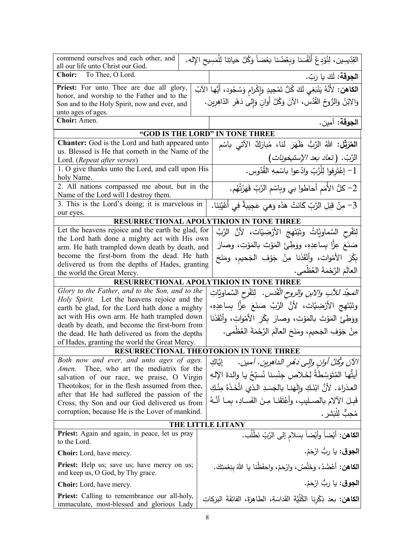| commend ourselves and each other, and<br>القِدِّيسِين، لِنُوْدِعْ أَنْفُسَنا وَبَعْضُنا بَعْضاً وَكُلَّ حَياتِنا لِلْمَسِيحِ الإِله.<br>all our life unto Christ our God.<br>Choir: To Thee, O Lord.<br>ا <b>لجوقة:</b> لَكَ يا رَبّ.<br>ا <b>لكاهن:</b> لأَنَّهُ يَنْبَغِي لَكَ كُلُّ تَمْجِيدٍ وَإِكْرامٍ وَسُجُود، أَيُّها الآبُ<br>وَالِإِبْنُ وَالرُّوحُ القُدُس، الآنَ وَكُلَّ أَوانٍ وَإِلَى دَهْرِ الدّاهِرِين.<br>Priest: For unto Thee are due all glory,<br>honor, and worship to the Father and to the<br>Son and to the Holy Spirit, now and ever, and<br>unto ages of ages.<br>Choir: Amen.<br>ا <b>لجوقة:</b> آمين.<br>"GOD IS THE LORD" IN TONE THREE<br>Chanter: God is the Lord and hath appeared unto<br>المُعَرَّقِل: اللهُ الرَّبُّ ظَهَرَ لَنا، مُبارَكٌ الآتي باسْم<br>us. Blessed is He that cometh in the Name of the<br>الرَّبّ. (تع <i>اد بعد الإستيخونات</i> )<br>Lord. (Repeat after verses)<br>1– إعْتَرفوا لِلْرَّبِّ وادْعوا باسْمِهِ القُدّوس.<br>1. O give thanks unto the Lord, and call upon His<br>holy Name.<br>2– كلُّ الأُمَمِ أحاطوا بي وبِاسْمِ الرَّبِّ قَهَرْتُهُم.<br>2. All nations compassed me about, but in the<br>Name of the Lord will I destroy them.<br>3. This is the Lord's doing; it is marvelous in<br>.<br>3- مِنْ قِبَلِ الرَّبِّ كَانَتْ هَذَه وَهيَ عَجِيبةٌ فِي أَعْيُنِنَا .<br>our eyes.<br><b>RESURRECTIONAL APOLYTIKION IN TONE THREE</b><br>Let the heavens rejoice and the earth be glad, for<br>لِتَفْرِحِ السَّماويَّاتُ وتَبْتَهِجِ الأَرْضِيّاتِ، لأَنَّ الرَّبَّ<br>the Lord hath done a mighty act with His own<br>صَنَعَ عِزًّا بِساعِدِهِ، ووَطِئَ المَوْتَ بِالمَوْتِ، وصارَ<br>arm. He hath trampled down death by death, and<br>become the first-born from the dead. He hath<br>بِكْرَ الأَمْواتِ، وأَنْقَذَنا مِنْ جَوْفِ الْجَحيمِ، ومَنَحَ<br>delivered us from the depths of Hades, granting<br>العالَمَ الرَّحْمَةَ العُظْمي.<br>the world the Great Mercy.<br>RESURRECTIONAL APOLYTIKION IN TONE THREE<br>Glory to the Father, and to the Son, and to the<br><i>التَّحِدُ للآبِ والابنِ والروحِ الْقُدْسِ.</i> لِتَفْرِحِ السَّماويَّاتِ<br>Holy Spirit. Let the heavens rejoice and the<br>وتَبْتَهِجِ الأَرْضِيّات، لأَنَّ الرَّبَّ صَنَعَ عِزًّا بِساعِدِهِ،<br>earth be glad, for the Lord hath done a mighty<br>act with His own arm. He hath trampled down<br>ووَطِئَ المَوْتَ بالمَوْتِ، وصارَ بِكْرَ الأَمْواتِ، وأَنْقَذَنا<br>death by death, and become the first-born from<br>مِنْ جَوْفِ الجَحيم، ومَنَحَ العالَمَ الرَّحْمَةَ العُظْمي.<br>the dead. He hath delivered us from the depths<br>of Hades, granting the world the Great Mercy.<br><b>RESURRECTIONAL THEOTOKION IN TONE THREE</b><br>Both now and ever, and unto ages of ages.<br>الآنَ وكُلَّ أُوانٍ وإلى دَمُرِ الداهِرِينِ. آمينِ. ﴿ إِيَّاكِ<br>Thee, who art the mediatrix for the<br>Amen.<br>أيتُها المُتَوَسِّطَةُ لِخَلاصِ جِنْسِنا نُسبِّحُ يا والدةَ الإلهِ<br>salvation of our race, we praise, O Virgin<br>Theotokos; for in the flesh assumed from thee,<br>العذراءَ. لأَنَّ ابْنَكِ وإِلَهَنا بالجَسَدِ الذي اتَّخَذَهُ مِنْكِ<br>after that He had suffered the passion of the<br>قَبِلَ الآلامَ بالصليبِ، وأَعْتَقَنا مِنَ الفَسادِ، بمـا أنَّـهُ<br>Cross, thy Son and our God delivered us from<br>corruption, because He is the Lover of mankind.<br>مُجِبٌّ لِلْبَشْرِ .<br><b>THE LITTLE LITANY</b><br>ا <b>لكاهن:</b> أيْضاً وأيْضاً بِسَلام إلى الرَّبِّ نَطْلُب.<br>Priest: Again and again, in peace, let us pray<br>to the Lord.<br>ا <b>لجوق</b> : يا ربُّ ارْحَمْ.<br><b>Choir:</b> Lord, have mercy.<br><b>Priest:</b> Help us; save us; have mercy on us;<br>الكاهن: أَعْضُدْ، وَخَلِّصْ، وارْحَمْ، واحفَظْنا يا اللهُ بنِعْمَتِكَ.<br>and keep us, O God, by Thy grace.<br>ا <b>لجوق</b> : يا ربُّ ارْحَمْ.<br><b>Choir:</b> Lord, have mercy.<br>Priest: Calling to remembrance our all-holy,<br>الكاهن: بعدَ ذِكْرِنا الكُلِّيَّةَ القَداسَةِ، الطاهِرَةَ، الفائِقَةَ البَرَكاتِ<br>immaculate, most-blessed and glorious Lady |  |  |  |  |
|--------------------------------------------------------------------------------------------------------------------------------------------------------------------------------------------------------------------------------------------------------------------------------------------------------------------------------------------------------------------------------------------------------------------------------------------------------------------------------------------------------------------------------------------------------------------------------------------------------------------------------------------------------------------------------------------------------------------------------------------------------------------------------------------------------------------------------------------------------------------------------------------------------------------------------------------------------------------------------------------------------------------------------------------------------------------------------------------------------------------------------------------------------------------------------------------------------------------------------------------------------------------------------------------------------------------------------------------------------------------------------------------------------------------------------------------------------------------------------------------------------------------------------------------------------------------------------------------------------------------------------------------------------------------------------------------------------------------------------------------------------------------------------------------------------------------------------------------------------------------------------------------------------------------------------------------------------------------------------------------------------------------------------------------------------------------------------------------------------------------------------------------------------------------------------------------------------------------------------------------------------------------------------------------------------------------------------------------------------------------------------------------------------------------------------------------------------------------------------------------------------------------------------------------------------------------------------------------------------------------------------------------------------------------------------------------------------------------------------------------------------------------------------------------------------------------------------------------------------------------------------------------------------------------------------------------------------------------------------------------------------------------------------------------------------------------------------------------------------------------------------------------------------------------------------------------------------------------------------------------------------------------------------------------------------------------------------------------------------------------------------------------------------------------------------------------------------------------------------------------------------------------------------------------------------------------------------------------------------------------------------------------------------------------------------------------------------------------------------------------------------------------------------------------------------------------------------------------------------------------------------------------------------------------------------------------------------------------------------------------------------------------------------|--|--|--|--|
|                                                                                                                                                                                                                                                                                                                                                                                                                                                                                                                                                                                                                                                                                                                                                                                                                                                                                                                                                                                                                                                                                                                                                                                                                                                                                                                                                                                                                                                                                                                                                                                                                                                                                                                                                                                                                                                                                                                                                                                                                                                                                                                                                                                                                                                                                                                                                                                                                                                                                                                                                                                                                                                                                                                                                                                                                                                                                                                                                                                                                                                                                                                                                                                                                                                                                                                                                                                                                                                                                                                                                                                                                                                                                                                                                                                                                                                                                                                                                                                                                                |  |  |  |  |
|                                                                                                                                                                                                                                                                                                                                                                                                                                                                                                                                                                                                                                                                                                                                                                                                                                                                                                                                                                                                                                                                                                                                                                                                                                                                                                                                                                                                                                                                                                                                                                                                                                                                                                                                                                                                                                                                                                                                                                                                                                                                                                                                                                                                                                                                                                                                                                                                                                                                                                                                                                                                                                                                                                                                                                                                                                                                                                                                                                                                                                                                                                                                                                                                                                                                                                                                                                                                                                                                                                                                                                                                                                                                                                                                                                                                                                                                                                                                                                                                                                |  |  |  |  |
|                                                                                                                                                                                                                                                                                                                                                                                                                                                                                                                                                                                                                                                                                                                                                                                                                                                                                                                                                                                                                                                                                                                                                                                                                                                                                                                                                                                                                                                                                                                                                                                                                                                                                                                                                                                                                                                                                                                                                                                                                                                                                                                                                                                                                                                                                                                                                                                                                                                                                                                                                                                                                                                                                                                                                                                                                                                                                                                                                                                                                                                                                                                                                                                                                                                                                                                                                                                                                                                                                                                                                                                                                                                                                                                                                                                                                                                                                                                                                                                                                                |  |  |  |  |
|                                                                                                                                                                                                                                                                                                                                                                                                                                                                                                                                                                                                                                                                                                                                                                                                                                                                                                                                                                                                                                                                                                                                                                                                                                                                                                                                                                                                                                                                                                                                                                                                                                                                                                                                                                                                                                                                                                                                                                                                                                                                                                                                                                                                                                                                                                                                                                                                                                                                                                                                                                                                                                                                                                                                                                                                                                                                                                                                                                                                                                                                                                                                                                                                                                                                                                                                                                                                                                                                                                                                                                                                                                                                                                                                                                                                                                                                                                                                                                                                                                |  |  |  |  |
|                                                                                                                                                                                                                                                                                                                                                                                                                                                                                                                                                                                                                                                                                                                                                                                                                                                                                                                                                                                                                                                                                                                                                                                                                                                                                                                                                                                                                                                                                                                                                                                                                                                                                                                                                                                                                                                                                                                                                                                                                                                                                                                                                                                                                                                                                                                                                                                                                                                                                                                                                                                                                                                                                                                                                                                                                                                                                                                                                                                                                                                                                                                                                                                                                                                                                                                                                                                                                                                                                                                                                                                                                                                                                                                                                                                                                                                                                                                                                                                                                                |  |  |  |  |
|                                                                                                                                                                                                                                                                                                                                                                                                                                                                                                                                                                                                                                                                                                                                                                                                                                                                                                                                                                                                                                                                                                                                                                                                                                                                                                                                                                                                                                                                                                                                                                                                                                                                                                                                                                                                                                                                                                                                                                                                                                                                                                                                                                                                                                                                                                                                                                                                                                                                                                                                                                                                                                                                                                                                                                                                                                                                                                                                                                                                                                                                                                                                                                                                                                                                                                                                                                                                                                                                                                                                                                                                                                                                                                                                                                                                                                                                                                                                                                                                                                |  |  |  |  |
|                                                                                                                                                                                                                                                                                                                                                                                                                                                                                                                                                                                                                                                                                                                                                                                                                                                                                                                                                                                                                                                                                                                                                                                                                                                                                                                                                                                                                                                                                                                                                                                                                                                                                                                                                                                                                                                                                                                                                                                                                                                                                                                                                                                                                                                                                                                                                                                                                                                                                                                                                                                                                                                                                                                                                                                                                                                                                                                                                                                                                                                                                                                                                                                                                                                                                                                                                                                                                                                                                                                                                                                                                                                                                                                                                                                                                                                                                                                                                                                                                                |  |  |  |  |
|                                                                                                                                                                                                                                                                                                                                                                                                                                                                                                                                                                                                                                                                                                                                                                                                                                                                                                                                                                                                                                                                                                                                                                                                                                                                                                                                                                                                                                                                                                                                                                                                                                                                                                                                                                                                                                                                                                                                                                                                                                                                                                                                                                                                                                                                                                                                                                                                                                                                                                                                                                                                                                                                                                                                                                                                                                                                                                                                                                                                                                                                                                                                                                                                                                                                                                                                                                                                                                                                                                                                                                                                                                                                                                                                                                                                                                                                                                                                                                                                                                |  |  |  |  |
|                                                                                                                                                                                                                                                                                                                                                                                                                                                                                                                                                                                                                                                                                                                                                                                                                                                                                                                                                                                                                                                                                                                                                                                                                                                                                                                                                                                                                                                                                                                                                                                                                                                                                                                                                                                                                                                                                                                                                                                                                                                                                                                                                                                                                                                                                                                                                                                                                                                                                                                                                                                                                                                                                                                                                                                                                                                                                                                                                                                                                                                                                                                                                                                                                                                                                                                                                                                                                                                                                                                                                                                                                                                                                                                                                                                                                                                                                                                                                                                                                                |  |  |  |  |
|                                                                                                                                                                                                                                                                                                                                                                                                                                                                                                                                                                                                                                                                                                                                                                                                                                                                                                                                                                                                                                                                                                                                                                                                                                                                                                                                                                                                                                                                                                                                                                                                                                                                                                                                                                                                                                                                                                                                                                                                                                                                                                                                                                                                                                                                                                                                                                                                                                                                                                                                                                                                                                                                                                                                                                                                                                                                                                                                                                                                                                                                                                                                                                                                                                                                                                                                                                                                                                                                                                                                                                                                                                                                                                                                                                                                                                                                                                                                                                                                                                |  |  |  |  |
|                                                                                                                                                                                                                                                                                                                                                                                                                                                                                                                                                                                                                                                                                                                                                                                                                                                                                                                                                                                                                                                                                                                                                                                                                                                                                                                                                                                                                                                                                                                                                                                                                                                                                                                                                                                                                                                                                                                                                                                                                                                                                                                                                                                                                                                                                                                                                                                                                                                                                                                                                                                                                                                                                                                                                                                                                                                                                                                                                                                                                                                                                                                                                                                                                                                                                                                                                                                                                                                                                                                                                                                                                                                                                                                                                                                                                                                                                                                                                                                                                                |  |  |  |  |
|                                                                                                                                                                                                                                                                                                                                                                                                                                                                                                                                                                                                                                                                                                                                                                                                                                                                                                                                                                                                                                                                                                                                                                                                                                                                                                                                                                                                                                                                                                                                                                                                                                                                                                                                                                                                                                                                                                                                                                                                                                                                                                                                                                                                                                                                                                                                                                                                                                                                                                                                                                                                                                                                                                                                                                                                                                                                                                                                                                                                                                                                                                                                                                                                                                                                                                                                                                                                                                                                                                                                                                                                                                                                                                                                                                                                                                                                                                                                                                                                                                |  |  |  |  |
|                                                                                                                                                                                                                                                                                                                                                                                                                                                                                                                                                                                                                                                                                                                                                                                                                                                                                                                                                                                                                                                                                                                                                                                                                                                                                                                                                                                                                                                                                                                                                                                                                                                                                                                                                                                                                                                                                                                                                                                                                                                                                                                                                                                                                                                                                                                                                                                                                                                                                                                                                                                                                                                                                                                                                                                                                                                                                                                                                                                                                                                                                                                                                                                                                                                                                                                                                                                                                                                                                                                                                                                                                                                                                                                                                                                                                                                                                                                                                                                                                                |  |  |  |  |
|                                                                                                                                                                                                                                                                                                                                                                                                                                                                                                                                                                                                                                                                                                                                                                                                                                                                                                                                                                                                                                                                                                                                                                                                                                                                                                                                                                                                                                                                                                                                                                                                                                                                                                                                                                                                                                                                                                                                                                                                                                                                                                                                                                                                                                                                                                                                                                                                                                                                                                                                                                                                                                                                                                                                                                                                                                                                                                                                                                                                                                                                                                                                                                                                                                                                                                                                                                                                                                                                                                                                                                                                                                                                                                                                                                                                                                                                                                                                                                                                                                |  |  |  |  |
|                                                                                                                                                                                                                                                                                                                                                                                                                                                                                                                                                                                                                                                                                                                                                                                                                                                                                                                                                                                                                                                                                                                                                                                                                                                                                                                                                                                                                                                                                                                                                                                                                                                                                                                                                                                                                                                                                                                                                                                                                                                                                                                                                                                                                                                                                                                                                                                                                                                                                                                                                                                                                                                                                                                                                                                                                                                                                                                                                                                                                                                                                                                                                                                                                                                                                                                                                                                                                                                                                                                                                                                                                                                                                                                                                                                                                                                                                                                                                                                                                                |  |  |  |  |
|                                                                                                                                                                                                                                                                                                                                                                                                                                                                                                                                                                                                                                                                                                                                                                                                                                                                                                                                                                                                                                                                                                                                                                                                                                                                                                                                                                                                                                                                                                                                                                                                                                                                                                                                                                                                                                                                                                                                                                                                                                                                                                                                                                                                                                                                                                                                                                                                                                                                                                                                                                                                                                                                                                                                                                                                                                                                                                                                                                                                                                                                                                                                                                                                                                                                                                                                                                                                                                                                                                                                                                                                                                                                                                                                                                                                                                                                                                                                                                                                                                |  |  |  |  |
|                                                                                                                                                                                                                                                                                                                                                                                                                                                                                                                                                                                                                                                                                                                                                                                                                                                                                                                                                                                                                                                                                                                                                                                                                                                                                                                                                                                                                                                                                                                                                                                                                                                                                                                                                                                                                                                                                                                                                                                                                                                                                                                                                                                                                                                                                                                                                                                                                                                                                                                                                                                                                                                                                                                                                                                                                                                                                                                                                                                                                                                                                                                                                                                                                                                                                                                                                                                                                                                                                                                                                                                                                                                                                                                                                                                                                                                                                                                                                                                                                                |  |  |  |  |
|                                                                                                                                                                                                                                                                                                                                                                                                                                                                                                                                                                                                                                                                                                                                                                                                                                                                                                                                                                                                                                                                                                                                                                                                                                                                                                                                                                                                                                                                                                                                                                                                                                                                                                                                                                                                                                                                                                                                                                                                                                                                                                                                                                                                                                                                                                                                                                                                                                                                                                                                                                                                                                                                                                                                                                                                                                                                                                                                                                                                                                                                                                                                                                                                                                                                                                                                                                                                                                                                                                                                                                                                                                                                                                                                                                                                                                                                                                                                                                                                                                |  |  |  |  |
|                                                                                                                                                                                                                                                                                                                                                                                                                                                                                                                                                                                                                                                                                                                                                                                                                                                                                                                                                                                                                                                                                                                                                                                                                                                                                                                                                                                                                                                                                                                                                                                                                                                                                                                                                                                                                                                                                                                                                                                                                                                                                                                                                                                                                                                                                                                                                                                                                                                                                                                                                                                                                                                                                                                                                                                                                                                                                                                                                                                                                                                                                                                                                                                                                                                                                                                                                                                                                                                                                                                                                                                                                                                                                                                                                                                                                                                                                                                                                                                                                                |  |  |  |  |
|                                                                                                                                                                                                                                                                                                                                                                                                                                                                                                                                                                                                                                                                                                                                                                                                                                                                                                                                                                                                                                                                                                                                                                                                                                                                                                                                                                                                                                                                                                                                                                                                                                                                                                                                                                                                                                                                                                                                                                                                                                                                                                                                                                                                                                                                                                                                                                                                                                                                                                                                                                                                                                                                                                                                                                                                                                                                                                                                                                                                                                                                                                                                                                                                                                                                                                                                                                                                                                                                                                                                                                                                                                                                                                                                                                                                                                                                                                                                                                                                                                |  |  |  |  |
|                                                                                                                                                                                                                                                                                                                                                                                                                                                                                                                                                                                                                                                                                                                                                                                                                                                                                                                                                                                                                                                                                                                                                                                                                                                                                                                                                                                                                                                                                                                                                                                                                                                                                                                                                                                                                                                                                                                                                                                                                                                                                                                                                                                                                                                                                                                                                                                                                                                                                                                                                                                                                                                                                                                                                                                                                                                                                                                                                                                                                                                                                                                                                                                                                                                                                                                                                                                                                                                                                                                                                                                                                                                                                                                                                                                                                                                                                                                                                                                                                                |  |  |  |  |
|                                                                                                                                                                                                                                                                                                                                                                                                                                                                                                                                                                                                                                                                                                                                                                                                                                                                                                                                                                                                                                                                                                                                                                                                                                                                                                                                                                                                                                                                                                                                                                                                                                                                                                                                                                                                                                                                                                                                                                                                                                                                                                                                                                                                                                                                                                                                                                                                                                                                                                                                                                                                                                                                                                                                                                                                                                                                                                                                                                                                                                                                                                                                                                                                                                                                                                                                                                                                                                                                                                                                                                                                                                                                                                                                                                                                                                                                                                                                                                                                                                |  |  |  |  |
|                                                                                                                                                                                                                                                                                                                                                                                                                                                                                                                                                                                                                                                                                                                                                                                                                                                                                                                                                                                                                                                                                                                                                                                                                                                                                                                                                                                                                                                                                                                                                                                                                                                                                                                                                                                                                                                                                                                                                                                                                                                                                                                                                                                                                                                                                                                                                                                                                                                                                                                                                                                                                                                                                                                                                                                                                                                                                                                                                                                                                                                                                                                                                                                                                                                                                                                                                                                                                                                                                                                                                                                                                                                                                                                                                                                                                                                                                                                                                                                                                                |  |  |  |  |
|                                                                                                                                                                                                                                                                                                                                                                                                                                                                                                                                                                                                                                                                                                                                                                                                                                                                                                                                                                                                                                                                                                                                                                                                                                                                                                                                                                                                                                                                                                                                                                                                                                                                                                                                                                                                                                                                                                                                                                                                                                                                                                                                                                                                                                                                                                                                                                                                                                                                                                                                                                                                                                                                                                                                                                                                                                                                                                                                                                                                                                                                                                                                                                                                                                                                                                                                                                                                                                                                                                                                                                                                                                                                                                                                                                                                                                                                                                                                                                                                                                |  |  |  |  |
|                                                                                                                                                                                                                                                                                                                                                                                                                                                                                                                                                                                                                                                                                                                                                                                                                                                                                                                                                                                                                                                                                                                                                                                                                                                                                                                                                                                                                                                                                                                                                                                                                                                                                                                                                                                                                                                                                                                                                                                                                                                                                                                                                                                                                                                                                                                                                                                                                                                                                                                                                                                                                                                                                                                                                                                                                                                                                                                                                                                                                                                                                                                                                                                                                                                                                                                                                                                                                                                                                                                                                                                                                                                                                                                                                                                                                                                                                                                                                                                                                                |  |  |  |  |
|                                                                                                                                                                                                                                                                                                                                                                                                                                                                                                                                                                                                                                                                                                                                                                                                                                                                                                                                                                                                                                                                                                                                                                                                                                                                                                                                                                                                                                                                                                                                                                                                                                                                                                                                                                                                                                                                                                                                                                                                                                                                                                                                                                                                                                                                                                                                                                                                                                                                                                                                                                                                                                                                                                                                                                                                                                                                                                                                                                                                                                                                                                                                                                                                                                                                                                                                                                                                                                                                                                                                                                                                                                                                                                                                                                                                                                                                                                                                                                                                                                |  |  |  |  |
|                                                                                                                                                                                                                                                                                                                                                                                                                                                                                                                                                                                                                                                                                                                                                                                                                                                                                                                                                                                                                                                                                                                                                                                                                                                                                                                                                                                                                                                                                                                                                                                                                                                                                                                                                                                                                                                                                                                                                                                                                                                                                                                                                                                                                                                                                                                                                                                                                                                                                                                                                                                                                                                                                                                                                                                                                                                                                                                                                                                                                                                                                                                                                                                                                                                                                                                                                                                                                                                                                                                                                                                                                                                                                                                                                                                                                                                                                                                                                                                                                                |  |  |  |  |
|                                                                                                                                                                                                                                                                                                                                                                                                                                                                                                                                                                                                                                                                                                                                                                                                                                                                                                                                                                                                                                                                                                                                                                                                                                                                                                                                                                                                                                                                                                                                                                                                                                                                                                                                                                                                                                                                                                                                                                                                                                                                                                                                                                                                                                                                                                                                                                                                                                                                                                                                                                                                                                                                                                                                                                                                                                                                                                                                                                                                                                                                                                                                                                                                                                                                                                                                                                                                                                                                                                                                                                                                                                                                                                                                                                                                                                                                                                                                                                                                                                |  |  |  |  |
|                                                                                                                                                                                                                                                                                                                                                                                                                                                                                                                                                                                                                                                                                                                                                                                                                                                                                                                                                                                                                                                                                                                                                                                                                                                                                                                                                                                                                                                                                                                                                                                                                                                                                                                                                                                                                                                                                                                                                                                                                                                                                                                                                                                                                                                                                                                                                                                                                                                                                                                                                                                                                                                                                                                                                                                                                                                                                                                                                                                                                                                                                                                                                                                                                                                                                                                                                                                                                                                                                                                                                                                                                                                                                                                                                                                                                                                                                                                                                                                                                                |  |  |  |  |
|                                                                                                                                                                                                                                                                                                                                                                                                                                                                                                                                                                                                                                                                                                                                                                                                                                                                                                                                                                                                                                                                                                                                                                                                                                                                                                                                                                                                                                                                                                                                                                                                                                                                                                                                                                                                                                                                                                                                                                                                                                                                                                                                                                                                                                                                                                                                                                                                                                                                                                                                                                                                                                                                                                                                                                                                                                                                                                                                                                                                                                                                                                                                                                                                                                                                                                                                                                                                                                                                                                                                                                                                                                                                                                                                                                                                                                                                                                                                                                                                                                |  |  |  |  |
|                                                                                                                                                                                                                                                                                                                                                                                                                                                                                                                                                                                                                                                                                                                                                                                                                                                                                                                                                                                                                                                                                                                                                                                                                                                                                                                                                                                                                                                                                                                                                                                                                                                                                                                                                                                                                                                                                                                                                                                                                                                                                                                                                                                                                                                                                                                                                                                                                                                                                                                                                                                                                                                                                                                                                                                                                                                                                                                                                                                                                                                                                                                                                                                                                                                                                                                                                                                                                                                                                                                                                                                                                                                                                                                                                                                                                                                                                                                                                                                                                                |  |  |  |  |
|                                                                                                                                                                                                                                                                                                                                                                                                                                                                                                                                                                                                                                                                                                                                                                                                                                                                                                                                                                                                                                                                                                                                                                                                                                                                                                                                                                                                                                                                                                                                                                                                                                                                                                                                                                                                                                                                                                                                                                                                                                                                                                                                                                                                                                                                                                                                                                                                                                                                                                                                                                                                                                                                                                                                                                                                                                                                                                                                                                                                                                                                                                                                                                                                                                                                                                                                                                                                                                                                                                                                                                                                                                                                                                                                                                                                                                                                                                                                                                                                                                |  |  |  |  |
|                                                                                                                                                                                                                                                                                                                                                                                                                                                                                                                                                                                                                                                                                                                                                                                                                                                                                                                                                                                                                                                                                                                                                                                                                                                                                                                                                                                                                                                                                                                                                                                                                                                                                                                                                                                                                                                                                                                                                                                                                                                                                                                                                                                                                                                                                                                                                                                                                                                                                                                                                                                                                                                                                                                                                                                                                                                                                                                                                                                                                                                                                                                                                                                                                                                                                                                                                                                                                                                                                                                                                                                                                                                                                                                                                                                                                                                                                                                                                                                                                                |  |  |  |  |
|                                                                                                                                                                                                                                                                                                                                                                                                                                                                                                                                                                                                                                                                                                                                                                                                                                                                                                                                                                                                                                                                                                                                                                                                                                                                                                                                                                                                                                                                                                                                                                                                                                                                                                                                                                                                                                                                                                                                                                                                                                                                                                                                                                                                                                                                                                                                                                                                                                                                                                                                                                                                                                                                                                                                                                                                                                                                                                                                                                                                                                                                                                                                                                                                                                                                                                                                                                                                                                                                                                                                                                                                                                                                                                                                                                                                                                                                                                                                                                                                                                |  |  |  |  |
|                                                                                                                                                                                                                                                                                                                                                                                                                                                                                                                                                                                                                                                                                                                                                                                                                                                                                                                                                                                                                                                                                                                                                                                                                                                                                                                                                                                                                                                                                                                                                                                                                                                                                                                                                                                                                                                                                                                                                                                                                                                                                                                                                                                                                                                                                                                                                                                                                                                                                                                                                                                                                                                                                                                                                                                                                                                                                                                                                                                                                                                                                                                                                                                                                                                                                                                                                                                                                                                                                                                                                                                                                                                                                                                                                                                                                                                                                                                                                                                                                                |  |  |  |  |
|                                                                                                                                                                                                                                                                                                                                                                                                                                                                                                                                                                                                                                                                                                                                                                                                                                                                                                                                                                                                                                                                                                                                                                                                                                                                                                                                                                                                                                                                                                                                                                                                                                                                                                                                                                                                                                                                                                                                                                                                                                                                                                                                                                                                                                                                                                                                                                                                                                                                                                                                                                                                                                                                                                                                                                                                                                                                                                                                                                                                                                                                                                                                                                                                                                                                                                                                                                                                                                                                                                                                                                                                                                                                                                                                                                                                                                                                                                                                                                                                                                |  |  |  |  |
|                                                                                                                                                                                                                                                                                                                                                                                                                                                                                                                                                                                                                                                                                                                                                                                                                                                                                                                                                                                                                                                                                                                                                                                                                                                                                                                                                                                                                                                                                                                                                                                                                                                                                                                                                                                                                                                                                                                                                                                                                                                                                                                                                                                                                                                                                                                                                                                                                                                                                                                                                                                                                                                                                                                                                                                                                                                                                                                                                                                                                                                                                                                                                                                                                                                                                                                                                                                                                                                                                                                                                                                                                                                                                                                                                                                                                                                                                                                                                                                                                                |  |  |  |  |
|                                                                                                                                                                                                                                                                                                                                                                                                                                                                                                                                                                                                                                                                                                                                                                                                                                                                                                                                                                                                                                                                                                                                                                                                                                                                                                                                                                                                                                                                                                                                                                                                                                                                                                                                                                                                                                                                                                                                                                                                                                                                                                                                                                                                                                                                                                                                                                                                                                                                                                                                                                                                                                                                                                                                                                                                                                                                                                                                                                                                                                                                                                                                                                                                                                                                                                                                                                                                                                                                                                                                                                                                                                                                                                                                                                                                                                                                                                                                                                                                                                |  |  |  |  |
|                                                                                                                                                                                                                                                                                                                                                                                                                                                                                                                                                                                                                                                                                                                                                                                                                                                                                                                                                                                                                                                                                                                                                                                                                                                                                                                                                                                                                                                                                                                                                                                                                                                                                                                                                                                                                                                                                                                                                                                                                                                                                                                                                                                                                                                                                                                                                                                                                                                                                                                                                                                                                                                                                                                                                                                                                                                                                                                                                                                                                                                                                                                                                                                                                                                                                                                                                                                                                                                                                                                                                                                                                                                                                                                                                                                                                                                                                                                                                                                                                                |  |  |  |  |
|                                                                                                                                                                                                                                                                                                                                                                                                                                                                                                                                                                                                                                                                                                                                                                                                                                                                                                                                                                                                                                                                                                                                                                                                                                                                                                                                                                                                                                                                                                                                                                                                                                                                                                                                                                                                                                                                                                                                                                                                                                                                                                                                                                                                                                                                                                                                                                                                                                                                                                                                                                                                                                                                                                                                                                                                                                                                                                                                                                                                                                                                                                                                                                                                                                                                                                                                                                                                                                                                                                                                                                                                                                                                                                                                                                                                                                                                                                                                                                                                                                |  |  |  |  |
|                                                                                                                                                                                                                                                                                                                                                                                                                                                                                                                                                                                                                                                                                                                                                                                                                                                                                                                                                                                                                                                                                                                                                                                                                                                                                                                                                                                                                                                                                                                                                                                                                                                                                                                                                                                                                                                                                                                                                                                                                                                                                                                                                                                                                                                                                                                                                                                                                                                                                                                                                                                                                                                                                                                                                                                                                                                                                                                                                                                                                                                                                                                                                                                                                                                                                                                                                                                                                                                                                                                                                                                                                                                                                                                                                                                                                                                                                                                                                                                                                                |  |  |  |  |
|                                                                                                                                                                                                                                                                                                                                                                                                                                                                                                                                                                                                                                                                                                                                                                                                                                                                                                                                                                                                                                                                                                                                                                                                                                                                                                                                                                                                                                                                                                                                                                                                                                                                                                                                                                                                                                                                                                                                                                                                                                                                                                                                                                                                                                                                                                                                                                                                                                                                                                                                                                                                                                                                                                                                                                                                                                                                                                                                                                                                                                                                                                                                                                                                                                                                                                                                                                                                                                                                                                                                                                                                                                                                                                                                                                                                                                                                                                                                                                                                                                |  |  |  |  |
|                                                                                                                                                                                                                                                                                                                                                                                                                                                                                                                                                                                                                                                                                                                                                                                                                                                                                                                                                                                                                                                                                                                                                                                                                                                                                                                                                                                                                                                                                                                                                                                                                                                                                                                                                                                                                                                                                                                                                                                                                                                                                                                                                                                                                                                                                                                                                                                                                                                                                                                                                                                                                                                                                                                                                                                                                                                                                                                                                                                                                                                                                                                                                                                                                                                                                                                                                                                                                                                                                                                                                                                                                                                                                                                                                                                                                                                                                                                                                                                                                                |  |  |  |  |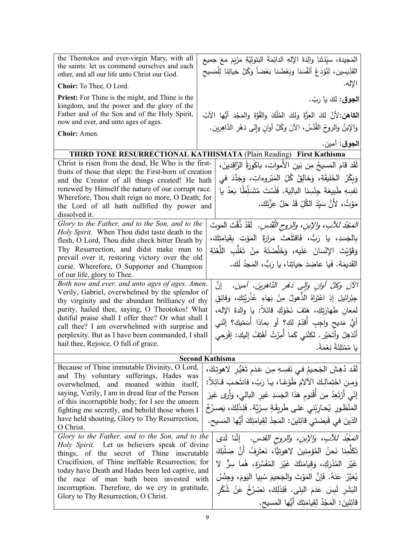| the Theotokos and ever-virgin Mary, with all<br>the saints: let us commend ourselves and each<br>other, and all our life unto Christ our God.                                                                                                                                                                                                                                                                | المَجيدة، سيِّدَتَنا والِدَةَ الإِلهِ الدائِمَةَ البَتولِيَّةِ مَرْيَمَ مَعَ جميع<br>القدِّيسين، لِنُؤدِعْ أَنْفُسَنا وبَعْضُنا بَعْضاً وَكُلَّ حَياتِنا لِلْمَسيح                                                                                                                                                                                                                                     |  |  |
|--------------------------------------------------------------------------------------------------------------------------------------------------------------------------------------------------------------------------------------------------------------------------------------------------------------------------------------------------------------------------------------------------------------|--------------------------------------------------------------------------------------------------------------------------------------------------------------------------------------------------------------------------------------------------------------------------------------------------------------------------------------------------------------------------------------------------------|--|--|
| Choir: To Thee, O Lord.                                                                                                                                                                                                                                                                                                                                                                                      | الإله.                                                                                                                                                                                                                                                                                                                                                                                                 |  |  |
| <b>Priest:</b> For Thine is the might, and Thine is the<br>kingdom, and the power and the glory of the<br>Father and of the Son and of the Holy Spirit,<br>now and ever, and unto ages of ages.                                                                                                                                                                                                              | ا <b>لجوق:</b> لكَ يا ربّ.<br>الكاهن:لأنَّ لكَ العِزَّةَ ولكَ المُلْكَ والقُوَّةَ والمَجْدَ أيُّها الآبُ                                                                                                                                                                                                                                                                                               |  |  |
| Choir: Amen.                                                                                                                                                                                                                                                                                                                                                                                                 | والإبنُ والروحُ القُدُسُ، الآنَ وكُلَّ أوانِ وإلى دَهْرِ الدَّاهِرين.                                                                                                                                                                                                                                                                                                                                  |  |  |
|                                                                                                                                                                                                                                                                                                                                                                                                              | ا <b>لجوق</b> : آمين.                                                                                                                                                                                                                                                                                                                                                                                  |  |  |
| Christ is risen from the dead, He Who is the first-                                                                                                                                                                                                                                                                                                                                                          | THIRD TONE RESURRECTIONAL KATHISMATA (Plain Reading) First Kathisma                                                                                                                                                                                                                                                                                                                                    |  |  |
| fruits of those that slept: the First-born of creation<br>and the Creator of all things created! He hath<br>renewed by Himself the nature of our corrupt race.<br>Wherefore, Thou shalt reign no more, O Death; for<br>the Lord of all hath nullified thy power and<br>dissolved it.                                                                                                                         | لَقَد قامَ المَسيحُ مِن بَين الأمواتِ، باكورَةُ الرَّاقِدينَ،<br>وَبِكْرُ   الخَليقَةِ،  وَخالِقُ  كُلِّ   المَبْروءِاتِ،  وَجَدَّدَ  في<br>نَفْسِهِ طَبِيعَةَ جِنْسِنا البالِيَة. فَلَسْتَ مُتَسَلِّطًا بَعدُ يا<br>مَوْتُ، لأَنَّ سَيّدَ الكُلِّ قَدْ حَلَّ عِزَّتَك.                                                                                                                                |  |  |
| Glory to the Father, and to the Son, and to the<br>Holy Spirit. When Thou didst taste death in the<br>flesh, O Lord, Thou didst check bitter Death by<br>Thy Resurrection, and didst make man to<br>prevail over it, restoring victory over the old<br>curse. Wherefore, O Supporter and Champion<br>of our life, glory to Thee.                                                                             | <i>المَجْدُ للآبِ، والإبنِ، والروح القُدُسِ.</i> لَقَدْ ذُقْتَ المَوتَ<br>بالْجَسَدِ، يا رَبُّ، فَاقتَلَعتَ مَرارَةَ الْمَوْتِ بِقِيامَتِكَ،<br>وَقَوَّيْتَ الإِنْسانَ عَلَيه، وَخَلَّصْتَهُ مِنْ تَغَلُّبِ اللُّعْنَةِ<br>القَديمَة. فَيا عاضِدَ حَياتِنا، يا رَبُّ، المَجِدُ لَك.                                                                                                                    |  |  |
| Both now and ever, and unto ages of ages. Amen.<br>Verily, Gabriel, overwhelmed by the splendor of<br>thy virginity and the abundant brilliancy of thy<br>purity, hailed thee, saying, O Theotokos! What<br>dutiful praise shall I offer thee? Or what shall I<br>call thee? I am overwhelmed with surprise and<br>perplexity. But as I have been commanded, I shall<br>hail thee, Rejoice, O full of grace. | الآنَ وكلَّ أُولنِ وإلى دَهْرِ الدَّاهِرِينَ. آمين. [تَّ<br>جِبْرائيلَ إذِ اعْتَراهُ الذُّهولُ مِنْ بَهاءِ عُذْرِيَّتِكِ، وفائِق<br>لَمَعانِ طَهارَتِكِ، هَتَفَ نَحْوَكِ قائلاً: يا والدةَ الإله،<br>أيُّ مَديحٍ واجِبِ أَقدِّمُ لكِ؟ أو بِماذا أَسَمّيكِ؟ إنَّني<br>أَنْذهِلُ وأَتَحَيَّرٍ . لكِنَّنى كَما أُمِرْتُ أَهْتِفُ إليكِ: إفْرَحى<br>يا مُمْتَلِئَةً نِعْمَةً.                              |  |  |
|                                                                                                                                                                                                                                                                                                                                                                                                              | <b>Second Kathisma</b>                                                                                                                                                                                                                                                                                                                                                                                 |  |  |
| Because of Thine immutable Divinity, O Lord,<br>and Thy voluntary sufferings, Hades was<br>overwhelmed, and moaned within itself,<br>saying, Verily, I am in dread fear of the Person<br>of this incorruptible body; for I see the unseen<br>fighting me secretly, and behold those whom I<br>have held shouting, Glory to Thy Resurrection,<br>O Christ.                                                    | لَقَد دُهِشَ الجَحيمُ في نَفسِهِ مِن عَدَم تَغَيُّرِ  لاهوتِكَ،<br>وَمن احْتِمالِكَ الآلامَ طَوْعًا، يـا رَبّ، فانتَحَبَ قـائِلاً:<br>إِنِّي أَرْتَعِدُ مِن أَقْنومِ هَذا الْجَسَدِ غَيرِ الْبِالِّي، وَأَرِى غَيرَ<br>المَنْظُورِ يُحارِبُني عَلَى طَرِيقَةٍ سِرِّيَّة. فَلِذَلِكَ، يَصرُخُ<br>الذينَ في قَبِضَتي قائِلِينَ: الْمَجِدُ لِقِيامَتِكَ أَيُّها الْمَسيحِ.                                |  |  |
| Glory to the Father, and to the Son, and to the<br>Holy Spirit. Let us believers speak of divine<br>things, of the secret of Thine inscrutable<br>Crucifixion, of Thine ineffable Resurrection; for<br>today have Death and Hades been led captive, and<br>the race of man hath been invested with<br>incorruption. Therefore, do we cry in gratitude,<br>Glory to Thy Resurrection, O Christ.               | الْمَجْدُ للأَبِ، وإلإبنِ، والروحِ القدسِ. ۖ إنَّنا لدى<br>تَكَلَّمِنا نَحنُ المُؤمِنينَ لاهوتِيًّا، نَعتَرِفُ أَنَّ صَلْبَكَ<br>غَيْرَ المُدْرَكِ، وَقِيامَتَكَ غَيْرَ المُفَسَّرَة، هُما سِرٌّ لا<br>يُعَبَّرُ عَنهُ. فَإِنَّ المَوْتَ والجَحيمَ سُبيا اليَومَ، وَجِنْسُ<br>الْبَشَرِ لَبِسَ عَدَمَ الْبِلِّي. فَلِذَلِكَ، نَصْرُخُ عَنْ شُكْرِ<br>قائِلينَ: المَجْدُ لِقِيامَتِكَ أَيُّها المَسيحِ. |  |  |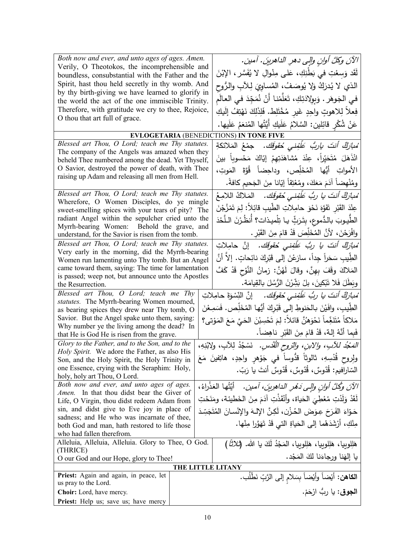| Both now and ever, and unto ages of ages. Amen.<br>Verily, O Theotokos, the incomprehensible and<br>boundless, consubstantial with the Father and the<br>Spirit, hast thou held secretly in thy womb. And |  | الآنَ وكلَّ أوانِ وإلى دهرِ الداهرينَ. آمين.                                    |  |  |
|-----------------------------------------------------------------------------------------------------------------------------------------------------------------------------------------------------------|--|---------------------------------------------------------------------------------|--|--|
|                                                                                                                                                                                                           |  | لَقَد وَسغْتِ في بَطْنِكِ، عَلَى مِنْوالِ لا يُفَسَّر ، الإِبْنَ                |  |  |
|                                                                                                                                                                                                           |  | الذي لا يُدرَكُ وَلا يُوصَفُ، المُساوِيَ لِـلآبِ والرُّوح                       |  |  |
| by thy birth-giving we have learned to glorify in                                                                                                                                                         |  |                                                                                 |  |  |
| the world the act of the one immiscible Trinity.                                                                                                                                                          |  | فـى الجَوهَرِ . وَبِوِلِادَتِكِ، تَعَلَّمْنـا أَنْ نُمَجِّدَ فـى العـالَم       |  |  |
| Therefore, with gratitude we cry to thee, Rejoice,<br>O thou that art full of grace.                                                                                                                      |  | فِعلاً لِلاهوتٍ واحِدٍ غَيرٍ مُخْتَلِط. فَلِذَلِكَ نَهْتِفُ إِلَيكِ             |  |  |
|                                                                                                                                                                                                           |  | عَنْ شُكْرٍ قائِلين: السَّلامُ عَلَيكِ أَيَّتُها المُنعَمُ عَلَيها.             |  |  |
|                                                                                                                                                                                                           |  | <b>EVLOGETARIA (BENEDICTIONS) IN TONE FIVE</b>                                  |  |  |
| Blessed art Thou, O Lord; teach me Thy statutes.                                                                                                                                                          |  | ُ <i>مْبارَكٌ أَنتَ ياربُّ عَلَّفِني حُقوقَكَ.</i> جمْعُ المَلائكةِ             |  |  |
| The company of the Angels was amazed when they<br>beheld Thee numbered among the dead. Yet Thyself,                                                                                                       |  | انْذَهَلَ مُتَحَيِّراً، عِنْدَ مُشاهَدَتِهِمْ إِيّاكَ مَحْسوباً بينَ            |  |  |
| O Savior, destroyed the power of death, with Thee                                                                                                                                                         |  | الأمواتِ أَيُّها المُخَلِّص، وداحِضاً قُوَّةَ المَوتِ،                          |  |  |
| raising up Adam and releasing all men from Hell.                                                                                                                                                          |  |                                                                                 |  |  |
|                                                                                                                                                                                                           |  | ومُنْهِضاً آدَمَ مَعَكَ، ومُعْتِقاً إيّانا مِنَ الجَحيم كافةً.                  |  |  |
| Blessed art Thou, O Lord; teach me Thy statutes.<br>Wherefore, O Women Disciples, do ye mingle                                                                                                            |  | مُ <i>بارَكٌ أنتَ يا ربُّ عَلَّفِنى حُقوقَك.</i> المَلاكُ اللامِعُ              |  |  |
| sweet-smelling spices with your tears of pity? The                                                                                                                                                        |  | عِنْدَ القَبْرِ نَفَوَّهَ نَحْوَ حامِلاتِ الطِّيبِ قائِلاً: لِمَ تَمْزُجْنَ     |  |  |
| radiant Angel within the sepulcher cried unto the                                                                                                                                                         |  | الطَّيوبَ بالدُّموعِ، بِتَرَبٍّ يـا تِلْميذات؟ أَنظُرْنَ الـلَّحْدَ             |  |  |
| Myrrh-bearing Women: Behold the grave, and                                                                                                                                                                |  | وافْرَحْنَ، لأَنَّ الْمُخَلِّصَ قَدْ قامَ مِنَ القَبْرِ .                       |  |  |
| understand, for the Savior is risen from the tomb.<br>Blessed art Thou, O Lord; teach me Thy statutes.                                                                                                    |  |                                                                                 |  |  |
| Very early in the morning, did the Myrrh-bearing                                                                                                                                                          |  | مُ <i>بازِكٌ أنتَ يا ربُّ عَلَّفِني حُقوقَك.</i> إنَّ حامِلاتِ                  |  |  |
| Women run lamenting unto Thy tomb. But an Angel                                                                                                                                                           |  | الطِّيبِ سَحَراً جِداً، سارَعْنَ إلى قَبْرِكَ نائِحاتٍ. إلاَّ أنَّ              |  |  |
| came toward them, saying: The time for lamentation                                                                                                                                                        |  | المَلاكَ وقَفَ بِهِنَّ، وقالَ لَهُنَّ: زمانُ النَّوْحِ قَدْ كَفَّ               |  |  |
| is passed; weep not, but announce unto the Apostles<br>the Resurrection.                                                                                                                                  |  | وِبَطَلَ فَلا تَبْكينَ، بِلْ بَشِّرْنَ الرُّسُلَ بِالْقِيامَةِ.                 |  |  |
| Blessed art Thou, O Lord; teach me Thy                                                                                                                                                                    |  | ُ <i>مْبارَكٌ أَنتَ يا ربُّ عَلَّفِنى حُقوقَك.</i> إنَّ النِّسْوَةَ حامِلاتِ    |  |  |
| statutes. The Myrrh-bearing Women mourned,                                                                                                                                                                |  |                                                                                 |  |  |
| as bearing spices they drew near Thy tomb, O                                                                                                                                                              |  | الطِّيبِ، وافَيْنَ بـالحَنوطِ إلـى قَبْرِكَ أَيُّها المُخَلِّص. فَسَمِعْنَ      |  |  |
| Savior. But the Angel spake unto them, saying:<br>Why number ye the living among the dead? In                                                                                                             |  | مَلاكاً مُتَنَغِّماً نَحْوَهُنَّ قائلاً: لِمَ تَحْسِبْنَ الحَيَّ مَعَ المَوْتي؟ |  |  |
| that He is God He is risen from the grave.                                                                                                                                                                |  | فَبِما أَنَّهُ إِلـهٌ، قَدْ قامَ مِنَ القَبْرِ ناهِضاً.                         |  |  |
| Glory to the Father, and to the Son, and to the                                                                                                                                                           |  | <i>المَجْدُ للآبِ، والابنِ، والتروح القُدْسِ.</i> نَسْجُدُ لِلآبِ، ولابْنِهِ،   |  |  |
| Holy Spirit. We adore the Father, as also His                                                                                                                                                             |  | ولِروح قُدْسِهِ، ثالوثاً قدُّوساً في جَوْهرٍ واحِدٍ، هاتِفينَ مَعَ              |  |  |
| Son, and the Holy Spirit, the Holy Trinity in<br>one Essence, crying with the Seraphim: Holy,                                                                                                             |  | السّارافيم: قُدّوسٌ، قُدّوسٌ، قُدّوسٌ أنتَ يا رَبّ.                             |  |  |
| holy, holy art Thou, O Lord.                                                                                                                                                                              |  |                                                                                 |  |  |
| Both now and ever, and unto ages of ages.                                                                                                                                                                 |  | الآنَ وكُلَّ أوانِ والِّـى دَهْرِ الداهِرِينَ، آمين. أيَّتُها العَذْراءُ،       |  |  |
| Amen. In that thou didst bear the Giver of<br>Life, O Virgin, thou didst redeem Adam from                                                                                                                 |  | لَقَدْ وَلَدْتِ مُعْطِيَ الحَياة، وأَنْقَذْتِ آدَمَ مِنَ الخَطيئة، ومَنَحْتِ    |  |  |
| sin, and didst give to Eve joy in place of                                                                                                                                                                |  | حَوّاءَ الفَرَحَ عِوَضَ الحُزْنِ، لَكِنَّ اﻹلـهَ واﻹنْسانَ المُتَجَسِّدَ        |  |  |
| sadness; and He who was incarnate of thee,                                                                                                                                                                |  |                                                                                 |  |  |
| both God and man, hath restored to life those                                                                                                                                                             |  | مِنْكِ، أَرْشَدَهُما إِلَى الْحَياةِ الَّتِي قَدْ تَهَوَّرا مِنْها.             |  |  |
| who had fallen therefrom.<br>Alleluia, Alleluia, Alleluia. Glory to Thee, O God.                                                                                                                          |  |                                                                                 |  |  |
| (THRICE)                                                                                                                                                                                                  |  | هَلِلوبِيا، هَلِلوبِيا، هَلِلوبِيا، المَجْدُ لَكَ يا الله. (ثلاثاً )            |  |  |
| O our God and our Hope, glory to Thee!                                                                                                                                                                    |  | يا إلهَنا ورجاءَنا لكَ المَجْد.                                                 |  |  |
| Priest: Again and again, in peace, let                                                                                                                                                                    |  | THE LITTLE LITANY                                                               |  |  |
| us pray to the Lord.                                                                                                                                                                                      |  | ا <b>لكاهن:</b> أَيْضاً وأَيْضاً بِسَلامِ إلى الرَّبِّ نَطْلُب.                 |  |  |
| <b>Choir:</b> Lord, have mercy.                                                                                                                                                                           |  | ا <b>لجوق</b> : يا ربُّ ارْحَمْ.                                                |  |  |
| Priest: Help us; save us; have mercy                                                                                                                                                                      |  |                                                                                 |  |  |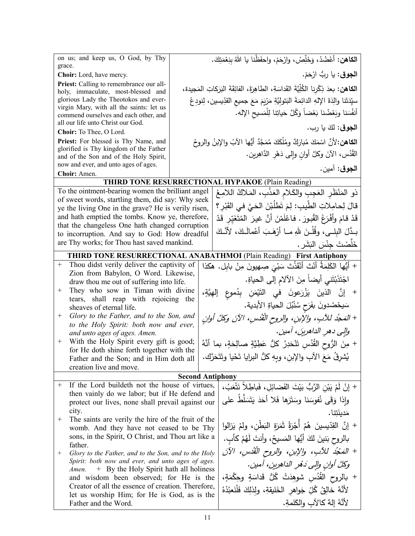| on us; and keep us, O God, by Thy<br>grace.                                                                                                                     |                                                                     |                           | الكاهن: أعْضُدْ، وَخَلِّصْ، وارْحَمْ، واحفَظْنا يا اللهُ بِنِعْمَتِكَ.                        |
|-----------------------------------------------------------------------------------------------------------------------------------------------------------------|---------------------------------------------------------------------|---------------------------|-----------------------------------------------------------------------------------------------|
| Choir: Lord, have mercy.                                                                                                                                        |                                                                     |                           | ا <b>لجوق</b> : يا ربُّ ارْحَمْ.                                                              |
| Priest: Calling to remembrance our all-                                                                                                                         |                                                                     |                           |                                                                                               |
| holy, immaculate, most-blessed and                                                                                                                              |                                                                     |                           | الكاهن: بعدَ ذِكْرِنا الكُلِّيَّةَ القَداسَةِ، الطاهِرَةَ، الفائِقَةَ البَرَكاتِ المَجيدة،    |
| glorious Lady the Theotokos and ever-                                                                                                                           |                                                                     |                           | سيِّدَتَنا والِدَةَ الإِلهِ الدائِمَةَ البَتولِيَّةِ مَرْيَمَ مَعَ جميعِ القدِّيسين، لِنودِعْ |
| virgin Mary, with all the saints: let us<br>commend ourselves and each other, and                                                                               |                                                                     |                           | أَنفُسَنا وبَعْضُنا بَعْضاً وَكُلَّ حَياتِنا لِلْمَسيحِ الإِله.                               |
| all our life unto Christ our God.                                                                                                                               |                                                                     |                           |                                                                                               |
| Choir: To Thee, O Lord.                                                                                                                                         |                                                                     |                           | ا <b>لجوق</b> : لكَ يا رب.                                                                    |
| Priest: For blessed is Thy Name, and                                                                                                                            |                                                                     |                           | ا <b>لكاهن:</b> 'لأنَّ اسْمَكَ مُبارَكٌ ومُلْكَكَ مُمَجَّدٌ أيُّها الآبُ والإبنُ والروحُ      |
| glorified is Thy kingdom of the Father<br>and of the Son and of the Holy Spirit,                                                                                |                                                                     |                           | القُدُس، الآنَ وكلَّ أوانِ وإلى دَهْرِ الدَّاهِرين.                                           |
| now and ever, and unto ages of ages.                                                                                                                            |                                                                     |                           |                                                                                               |
| Choir: Amen.                                                                                                                                                    |                                                                     |                           | ا <b>لجوق</b> : آمين.                                                                         |
|                                                                                                                                                                 |                                                                     |                           | <b>THIRD TONE RESURRECTIONAL HYPAKOE (Plain Reading)</b>                                      |
| To the ointment-bearing women the brilliant angel                                                                                                               |                                                                     |                           | ذو المَنْظُرِ العَجِبِ والكَلامِ العَذْبِ، المَلاكُ اللامِعُ                                  |
| of sweet words, startling them, did say: Why seek                                                                                                               |                                                                     |                           | قالَ لِحامِلاتِ الطَّيبِ: لِمَ تَطلُبْنَ الحَيَّ في القَبْرِ ؟                                |
| ye the living One in the grave? He is verily risen,<br>and hath emptied the tombs. Know ye, therefore,                                                          |                                                                     |                           |                                                                                               |
| that the changeless One hath changed corruption                                                                                                                 |                                                                     |                           | قَدْ قامَ وأَفْرَغَ القُبورَ . فاعْلَمْنَ أَنَّ غيرَ المُتَغَيّرِ قَدْ                        |
| to incorruption. And say to God: How dreadful                                                                                                                   |                                                                     |                           | بِدَّلَ البِلْـي، وقُلْـنَ للهِ مـا أَرْهَـبَ أَعْمالَـكَ، لأَنَّـكَ                          |
| are Thy works; for Thou hast saved mankind.                                                                                                                     |                                                                     |                           | خَلَّصْتَ جِنْسَ البَشَرِ .                                                                   |
|                                                                                                                                                                 |                                                                     |                           | THIRD TONE RESURRECTIONAL ANABATHMOI (Plain Reading) First Antiphony                          |
| $+$<br>Thou didst verily deliver the captivity of                                                                                                               |                                                                     |                           | + أَيُّها الكَلِمَةُ أَنْتَ أَنْقَذْتَ سَبْيَ صِهيونَ مِنْ بابِل. هكذا                        |
| Zion from Babylon, O Word. Likewise,                                                                                                                            |                                                                     |                           |                                                                                               |
| draw thou me out of suffering into life.                                                                                                                        |                                                                     |                           | اجْتَذَبْتَني أيضاً مِنَ الآلام إلى الحياةِ.                                                  |
| They who sow in Timan with divine<br>$^{+}$                                                                                                                     | + إنَّ الذينَ يَزْرَعونَ في التَّيْمَ <i>نِ</i> بِدُموعِ إلهِيَّةٍ، |                           |                                                                                               |
| tears, shall reap with rejoicing the<br>sheaves of eternal life.                                                                                                |                                                                     |                           | سَيحْصُدونَ بفَرَحٍ سُنْبُلَ الحياةِ الأبدية.                                                 |
| Glory to the Father, and to the Son, and<br>$^{+}$<br>+ المَجْدُ للآبِ، والإبنِ، والروحِ الْقُدْسِ، الآنَ وكلَّ أوانٍ<br>to the Holy Spirit: both now and ever, |                                                                     |                           |                                                                                               |
| and unto ages of ages. Amen.                                                                                                                                    |                                                                     | والي دهر الداهرينَ، آمين. |                                                                                               |
| With the Holy Spirit every gift is good;<br>$^+$                                                                                                                |                                                                     |                           | + مِنَ الرُّوحِ القُدُسِ تَنْحَدِرُ كلُّ عَطِيَّةٍ صالِحَةٍ، بما أَنَّهُ                      |
| for He doth shine forth together with the<br>Father and the Son; and in Him doth all                                                                            | يُشرِقُ مَعَ الآبِ والإبنِ، وبِهِ كلُّ البرايا تَحْيا وتَتَحَرَّك.  |                           |                                                                                               |
| creation live and move.                                                                                                                                         |                                                                     |                           |                                                                                               |
|                                                                                                                                                                 | <b>Second Antiphony</b>                                             |                           |                                                                                               |
| If the Lord buildeth not the house of virtues,<br>$^+$                                                                                                          |                                                                     |                           | + إِنْ لَمْ يَبْنِ الرَّبُّ بَيْتَ الفَضائِلِ، فَباطِلاً نَتْعَبُ،                            |
| then vainly do we labor; but if He defend and                                                                                                                   |                                                                     |                           | وإذا وَقَى نُفوسَنا وسَتَرَها فَلا أَحَدَ يَتَسَلَّطُ على                                     |
| protect our lives, none shall prevail against our<br>city.                                                                                                      |                                                                     |                           |                                                                                               |
| The saints are verily the hire of the fruit of the<br>$^+$                                                                                                      |                                                                     |                           | مَدينَتِنا.                                                                                   |
| womb. And they have not ceased to be Thy                                                                                                                        |                                                                     |                           | + إنَّ القِدّيسينَ هُمْ أَجْرَةُ ثَمَرَةِ البَطْنِ، ولمْ يَزالوا                              |
|                                                                                                                                                                 | sons, in the Spirit, O Christ, and Thou art like a                  |                           | بالروح بَنينَ لكَ أَيُّها المَسيحُ، وأنتَ لَهُمْ كَأَبٍ.                                      |
| father.<br>$^{+}$                                                                                                                                               | Glory to the Father, and to the Son, and to the Holy                |                           | + المَحْدُ للأَبِ، والإبن، والروح القُدُسِ، الآنَ                                             |
| Spirit: both now and ever, and unto ages of ages.                                                                                                               |                                                                     |                           | وكلَّ أوانِ والِي دَمُرِ الداهرِينِ، آمينِ.                                                   |
| + By the Holy Spirit hath all holiness<br>Amen.<br>and wisdom been observed; for He is the                                                                      |                                                                     |                           | + بالروح القُدُسِ شوهِدَتْ كُلُّ قَداسَةٍ وحِكْمَةٍ،                                          |
| Creator of all the essence of creation. Therefore,                                                                                                              |                                                                     |                           | لأَنَّهُ خالِقُ كُلِّ جَواهر الخَليقةِ، ولذلِكَ فَلْنَعبُدْهُ                                 |
| let us worship Him; for He is God, as is the                                                                                                                    |                                                                     |                           |                                                                                               |
| Father and the Word.                                                                                                                                            |                                                                     |                           | لأَنَّهُ إِلهٌ كالآبِ والكَلمةِ.                                                              |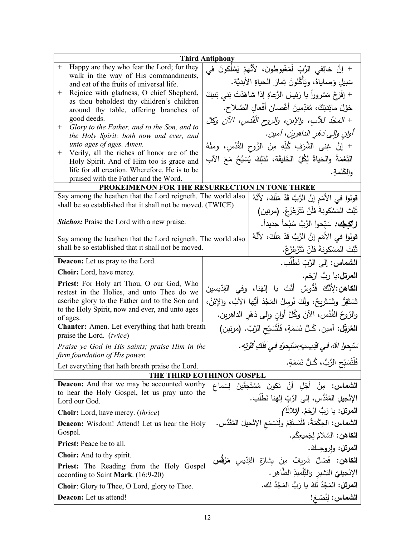| <b>Third Antiphony</b>                                                                              |                                                             |                                                                                                                        |  |  |
|-----------------------------------------------------------------------------------------------------|-------------------------------------------------------------|------------------------------------------------------------------------------------------------------------------------|--|--|
| Happy are they who fear the Lord; for they<br>$^{+}$                                                | + إنَّ خائِفي الرَّبِّ لَمَغْبوطونَ، لأنَّهمْ يَسْلُكونَ في |                                                                                                                        |  |  |
| walk in the way of His commandments,                                                                | سَبيلِ وَصاياهُ، ويَأْكُلونَ شِمارَ الحَياةِ الأَبديَّة.    |                                                                                                                        |  |  |
| and eat of the fruits of universal life.<br>Rejoice with gladness, O chief Shepherd,<br>$^{+}$      |                                                             |                                                                                                                        |  |  |
| as thou beholdest thy children's children                                                           |                                                             | + إفْرَحْ مَسْروراً يا رَئِيسَ الرُّعاةِ إذا شاهَدْتَ بَني بَنيكَ                                                      |  |  |
| around thy table, offering branches of                                                              |                                                             | حَوْلَ مائِدَتِكَ، مُقدِّمينَ أغْصانَ أفْعالِ الصَّلاح.                                                                |  |  |
| good deeds.<br>Glory to the Father, and to the Son, and to<br>$^{+}$                                |                                                             | + المَجْدُ للآبِ، والإبنِ، والروح الْقُدُسِ، الآنَ وكلَّ                                                               |  |  |
| the Holy Spirit: both now and ever, and                                                             |                                                             | أوان والي دَهُر الداهرِينَ، آمين.                                                                                      |  |  |
| unto ages of ages. Amen.                                                                            |                                                             | + إنَّ غِنى الشَّرَفِ كُلِّهِ مِنَ الرُّوحِ القُّدُسِ، ومنْهُ                                                          |  |  |
| Verily, all the riches of honor are of the<br>$^{+}$                                                |                                                             | النِّعْمَةُ والحَياةُ لِكُلِّ الخَليقَة، لذلِكَ يُسَبَّحُ مَعَ الآبِ                                                   |  |  |
| Holy Spirit. And of Him too is grace and<br>life for all creation. Wherefore, He is to be           |                                                             |                                                                                                                        |  |  |
| praised with the Father and the Word.                                                               |                                                             | والكَلمةِ.                                                                                                             |  |  |
| PROKEIMENON FOR THE RESURRECTION IN TONE THREE                                                      |                                                             |                                                                                                                        |  |  |
| Say among the heathen that the Lord reigneth. The world also                                        |                                                             | قولوا في الأُمَم إنَّ الرَّبَّ قَدْ مَلَكَ، لأنَّهُ                                                                    |  |  |
| shall be so established that it shall not be moved. (TWICE)                                         |                                                             | ثَبَّتَ المَسْكونةَ فلَنْ تَتَزَعْزَعْ. (مرتين)                                                                        |  |  |
| <b>Stichos:</b> Praise the Lord with a new praise.                                                  |                                                             | <b>زِيَّكِيُّهُ:</b> سَبِّحوا الرَّبَّ سُبْحاً جديداً.                                                                 |  |  |
| Say among the heathen that the Lord reigneth. The world also                                        |                                                             | قولوا في الأُمَم إنَّ الرَّبَّ قَدْ مَلَكَ، لأنَّهُ                                                                    |  |  |
| shall be so established that it shall not be moved.                                                 |                                                             | ثَبَّتَ المَسْكونةَ فلَنْ تَتَزَعْزَعْ.                                                                                |  |  |
| Deacon: Let us pray to the Lord.                                                                    |                                                             | ا <b>لشماس:</b> إلى الرَّبِّ نَطْلُب.                                                                                  |  |  |
| <b>Choir:</b> Lord, have mercy.                                                                     |                                                             | ا <b>لمرتل:</b> يا ربُّ ارْحَم.                                                                                        |  |  |
| Priest: For Holy art Thou, O our God, Who                                                           |                                                             | ا <b>لكاهن:</b> لِأَنَّكَ قُدُّوسٌ أَنْتَ يا إِلهَنا، وفي القِدِّيسينَ                                                 |  |  |
| restest in the Holies, and unto Thee do we                                                          |                                                             |                                                                                                                        |  |  |
| ascribe glory to the Father and to the Son and<br>to the Holy Spirit, now and ever, and unto ages   |                                                             | تَسْتَقِرُّ وتَسْتَرِيحُ، ولَكَ نُرسِلُ المَجْدَ أَيُّها الآبُ، والإِبْنُ،                                             |  |  |
| of ages.                                                                                            |                                                             | والرّوحُ القُدُس، الآنَ وكُلَّ أوانِ وإلى دَهْرِ الداهِرين.                                                            |  |  |
| Chanter: Amen. Let everything that hath breath<br>praise the Lord. (twice)                          |                                                             | المُرَبِّل: آمين. كُـلُّ نَسَمَةٍ، فَلْتُسَبِّحِ الرَّبَّ. (مرتين)                                                     |  |  |
| Praise ye God in His saints; praise Him in the                                                      | سَبْحوا اللهَ في قَدِيسِيهِ،سَبْحوهُ في قَلَكِ قُوَّتِهِ.   |                                                                                                                        |  |  |
| firm foundation of His power.                                                                       |                                                             |                                                                                                                        |  |  |
| Let everything that hath breath praise the Lord.                                                    |                                                             | فَلْتُسَبِّحِ الرَّبَّ، كُـلُّ نَسَمَةٍ.                                                                               |  |  |
| THE THIRD EOTHINON GOSPEL                                                                           |                                                             |                                                                                                                        |  |  |
| <b>Deacon:</b> And that we may be accounted worthy<br>to hear the Holy Gospel, let us pray unto the |                                                             | <b>الشماس:</b> مِنْ أَجْلِ أَنْ نَكونَ مُسْتَحِقِّينَ لِسَماع                                                          |  |  |
| Lord our God.                                                                                       |                                                             | الإِنْجِيلِ المُقَدَّسِ، إلى الرَّبِّ إِلهنا نَطْلُبٍ.                                                                 |  |  |
| Choir: Lord, have mercy. (thrice)                                                                   |                                                             | ا <b>لمرتل:</b> يا رَبُّ ارْحَمْ. <i>(ثلاثاً)</i>                                                                      |  |  |
| Deacon: Wisdom! Attend! Let us hear the Holy<br>Gospel.                                             |                                                             | ا <b>لشماس:</b> الحِكْمَةُ، فَلْنَستَقِمْ ولْنَسْمَعِ الإِنْجيلَ المُقَدَّس.<br>ا <b>لكاهن:</b> السَّلامُ لِجَميعِكُم. |  |  |
| <b>Priest:</b> Peace be to all.                                                                     |                                                             |                                                                                                                        |  |  |
| Choir: And to thy spirit.                                                                           |                                                             | المرتل: ولروحِكَ.                                                                                                      |  |  |
| <b>Priest:</b> The Reading from the Holy Gospel                                                     |                                                             | ا <b>لكاهن:</b> فَصْلٌ شَرِيفٌ مِنْ بِشارَةِ القِدِّيسِ <b>مَرْقَسِ</b>                                                |  |  |
| according to Saint Mark. (16:9-20)                                                                  |                                                             | الإنْجيليّ البَشيرِ والنِّلْميذِ الطَّاهِرِ .                                                                          |  |  |
| Choir: Glory to Thee, O Lord, glory to Thee.                                                        |                                                             | المرتل: المَجْدُ لَكَ يا رَبُّ المَجْدُ لَك.                                                                           |  |  |
| Deacon: Let us attend!                                                                              |                                                             | الشماس: لِنُصْغ!                                                                                                       |  |  |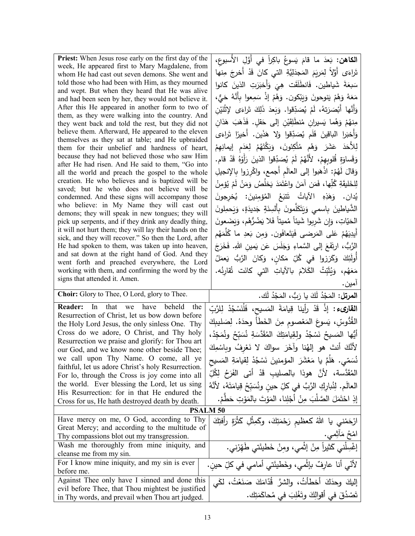| Priest: When Jesus rose early on the first day of the<br>week, He appeared first to Mary Magdalene, from<br>whom He had cast out seven demons. She went and<br>told those who had been with Him, as they mourned<br>and wept. But when they heard that He was alive<br>and had been seen by her, they would not believe it.<br>After this He appeared in another form to two of<br>them, as they were walking into the country. And<br>they went back and told the rest, but they did not<br>believe them. Afterward, He appeared to the eleven<br>themselves as they sat at table; and He upbraided<br>them for their unbelief and hardness of heart,<br>because they had not believed those who saw Him<br>after He had risen. And He said to them, "Go into<br>all the world and preach the gospel to the whole<br>creation. He who believes and is baptized will be | ا <b>لكاهن:</b> بَعدَ ما قامَ يَسوعُ باكِراً في أَوَّلِ الأَسبوع،<br>تَراءَى أَوَّلاً لِمَرِيَمَ المَجدَلِيَّةِ التي كانَ قَدْ أَخرجَ مِنها<br>سَبعَةَ شَياطين. فَانطَلَقَت هِيَ وَأَخبَرَتِ الذينَ كانوا<br>مَعَهُ وَهُمْ يَنوحونَ وَيَبْكون. وَهُمْ إِذْ سَمِعوا بِأَنَّهُ حَيٍّ،<br>وَأَنَّها أَبْصَرَتِهُ، لَمْ يُصَدِّقوا. وَبَعدَ ذَلِكَ تَراءَى لِإِثْنَيْنِ<br>مِنهُمْ وَهُما يَسيران مُنطَلِقَيْنِ إِلَى حَقلِ. فَذَهَبَ هَذان<br>وَأَخبَرا الباقينَ فَلَم يُصَدِّقوا وَلا هَذَين. أُخيرًا تَراءَى<br>لِلأَحَدَ عَشَرَ وَهُم مُتَّكِئونَ، وَبَكَّتَهُمْ لِعَدَم إيمانِهِمْ<br>وَقَساوَةِ قُلوبِهِمْ، لأَنَّهُمْ لَمْ يُصَدِّقوا الذينَ رَأَوْهُ قَدْ قام.<br>وَقالَ لَهُمْ: اذْهَبوا إلى العالَم أجمع، واكْرِزوا بِالإنجيلِ |
|-------------------------------------------------------------------------------------------------------------------------------------------------------------------------------------------------------------------------------------------------------------------------------------------------------------------------------------------------------------------------------------------------------------------------------------------------------------------------------------------------------------------------------------------------------------------------------------------------------------------------------------------------------------------------------------------------------------------------------------------------------------------------------------------------------------------------------------------------------------------------|--------------------------------------------------------------------------------------------------------------------------------------------------------------------------------------------------------------------------------------------------------------------------------------------------------------------------------------------------------------------------------------------------------------------------------------------------------------------------------------------------------------------------------------------------------------------------------------------------------------------------------------------------------------------------------------------------------------------------------------|
| saved; but he who does not believe will be<br>condemned. And these signs will accompany those<br>who believe: in My Name they will cast out<br>demons; they will speak in new tongues; they will<br>pick up serpents, and if they drink any deadly thing,<br>it will not hurt them; they will lay their hands on the<br>sick, and they will recover." So then the Lord, after<br>He had spoken to them, was taken up into heaven,<br>and sat down at the right hand of God. And they<br>went forth and preached everywhere, the Lord<br>working with them, and confirming the word by the<br>signs that attended it. Amen.                                                                                                                                                                                                                                              | لِلْخَلِيقَةِ كُلِّها، فَمَن آمَنَ واعْتَمَدَ يَخْلُصُ وَمَنْ لَمْ يُؤْمِنْ<br>يُدان. وَهَذِهِ الآياتُ تَتَبَعُ المُؤْمِنينَ: يُخرِجونَ<br>الشَّياطينَ بِاسمي وَيَتَكَلَّمونَ بِأَلسِنَةٍ جَديدَةٍ، وَيَحمِلونَ<br>الحَيّاتِ، وَإِن شَرِبوا شَيئاً مُميتاً فَلا يَضُرُّهُم، وَيَضَعونَ<br>أَيدِيَهُمْ عَلَى المَرضىي فَيَتَعافَون. وَمِن بَعدِ ما كَلَّمَهُم<br>الرَّبُّ، ارتَّفَعَ إلى السَّماءِ وَجَلَسَ عَن يَمينِ اللهِ. فَخَرَجَ<br>أُولَئِكَ وَكَرَزوا في كُلِّ مَكانٍ، وَكانَ الرَّبُّ يَعمَلُ<br>مَعَهُم، وَيُثَبِّتُ الكَلامَ بالآياتِ التي كانَت تُقارِنُه.<br>امين.                                                                                                                                                       |
| Choir: Glory to Thee, O Lord, glory to Thee.                                                                                                                                                                                                                                                                                                                                                                                                                                                                                                                                                                                                                                                                                                                                                                                                                            | المرتل: المَجْدُ لَكَ يا رَبُّ، المَجْدُ لَك.                                                                                                                                                                                                                                                                                                                                                                                                                                                                                                                                                                                                                                                                                        |
| Reader: In that we have beheld the<br>Resurrection of Christ, let us bow down before                                                                                                                                                                                                                                                                                                                                                                                                                                                                                                                                                                                                                                                                                                                                                                                    | ا <b>لقارىء :</b> إذْ قَدْ رأينا قِيامَةَ المَسيح، فَلْنَسْجُدْ لِلرَّبِّ                                                                                                                                                                                                                                                                                                                                                                                                                                                                                                                                                                                                                                                            |
| the Holy Lord Jesus, the only sinless One. Thy<br>Cross do we adore, O Christ, and Thy holy<br>Resurrection we praise and glorify: for Thou art<br>our God, and we know none other beside Thee;<br>we call upon Thy Name. O come, all ye<br>faithful, let us adore Christ's holy Resurrection.<br>For lo, through the Cross is joy come into all<br>the world. Ever blessing the Lord, let us sing<br>His Resurrection: for in that He endured the<br>Cross for us, He hath destroyed death by death.<br><b>PSALM 50</b>                                                                                                                                                                                                                                                                                                                                                | القُدُّوسِّ، يَسوعَ المَعْصومِ مِنَ الخَطَأَ وحدَهُ. لِصَليبِكَ<br>أَيُّها المَسيحُ نَسْجُدُ ولقِيامَتِكَ المُقَدَّسَةِ نُسَبِّحُ ونُمَجِّدُ،<br>لأَنَّكَ أَنتَ هو إلهُنا وآخَرَ سواكَ لا نَعْرِفُ وبِاسْمِكَ<br>نُسَمّى. هَلُمَّ يا مَعْشَرَ  المؤمنينَ نَسْجُدْ لِقيامَةِ المَسيح<br>المُقَدَّسة، لأنَّ هوذا بالصليبِ قَدْ أتى الفَرَحُ لِكُلِّ<br>العالَمِ. لِنُبارِكِ الرَّبَّ في كلِّ حينٍ ونُسَبِّحْ قِيامَتَهُ، لأَنَّهُ<br>إِذِ احْتَمَلَ الصَّلْبَ مِنْ أَجْلِنا، المَوْتَ بِالمَوْتِ حَطِّمْ.                                                                                                                                                                                                                              |
| Have mercy on me, O God, according to Thy                                                                                                                                                                                                                                                                                                                                                                                                                                                                                                                                                                                                                                                                                                                                                                                                                               |                                                                                                                                                                                                                                                                                                                                                                                                                                                                                                                                                                                                                                                                                                                                      |
| Great Mercy; and according to the multitude of                                                                                                                                                                                                                                                                                                                                                                                                                                                                                                                                                                                                                                                                                                                                                                                                                          | ارْحَمْني يا اللهُ كعظيم رَحْمَتِكَ، وكَمِثْلِ كَثْرَةِ رأفتِكَ                                                                                                                                                                                                                                                                                                                                                                                                                                                                                                                                                                                                                                                                      |
| Thy compassions blot out my transgression.<br>Wash me thoroughly from mine iniquity, and                                                                                                                                                                                                                                                                                                                                                                                                                                                                                                                                                                                                                                                                                                                                                                                |                                                                                                                                                                                                                                                                                                                                                                                                                                                                                                                                                                                                                                                                                                                                      |
| cleanse me from my sin.                                                                                                                                                                                                                                                                                                                                                                                                                                                                                                                                                                                                                                                                                                                                                                                                                                                 | امْحُ مَأْثِمي.<br>إغْسِلْني كَثيراً مِنْ إثْمي، ومِنْ خَطيئَتي طَهِّرْني.                                                                                                                                                                                                                                                                                                                                                                                                                                                                                                                                                                                                                                                           |
| For I know mine iniquity, and my sin is ever                                                                                                                                                                                                                                                                                                                                                                                                                                                                                                                                                                                                                                                                                                                                                                                                                            | لأنّي أنا عارفٌ بإثْمي، وخَطيئَتي أمامي في كلِّ حين.                                                                                                                                                                                                                                                                                                                                                                                                                                                                                                                                                                                                                                                                                 |
| before me.<br>Against Thee only have I sinned and done this<br>evil before Thee, that Thou mightest be justified                                                                                                                                                                                                                                                                                                                                                                                                                                                                                                                                                                                                                                                                                                                                                        | إليكَ وحذَكَ أخطأتُ، والشرَّ قُدّامَكَ صَنَعْتُ، لكَي                                                                                                                                                                                                                                                                                                                                                                                                                                                                                                                                                                                                                                                                                |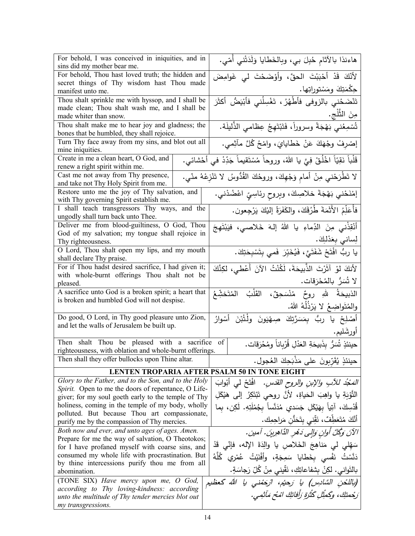| For behold, I was conceived in iniquities, and in               | هاءنذا بالآثام حُبِلَ بي، وبالخَطايا وَلَدَتْني أُمّي.                               |
|-----------------------------------------------------------------|--------------------------------------------------------------------------------------|
| sins did my mother bear me.                                     |                                                                                      |
| For behold, Thou hast loved truth; the hidden and               | لأَنَّكَ قَدْ أَحْبَبْتَ الْحقَّ، وأَوْضَحْتَ لَي غَوامِضَ                           |
| secret things of Thy wisdom hast Thou made<br>manifest unto me. | حِكْمَتِكَ ومَسْتوراتِها.                                                            |
| Thou shalt sprinkle me with hyssop, and I shall be              |                                                                                      |
| made clean; Thou shalt wash me, and I shall be                  | تَنْضَحُني بالزوفى فأطْهُرُ ، تَغْسِلُني فأَبْيَضُ أكثَرَ                            |
| made whiter than snow.                                          | مِنَ الثَّلْجِ.                                                                      |
| Thou shalt make me to hear joy and gladness; the                |                                                                                      |
| bones that be humbled, they shall rejoice.                      | تُسْمِعُني بَهْجَةً وسروراً، فَتَبْتَهِجُ عِظامي الذَّليلَة.                         |
| Turn Thy face away from my sins, and blot out all               | إِصْرِفْ وِجْهَكَ عَنْ خَطَايَايَ، وَامْحُ كُلَّ مآثِمي.                             |
| mine iniquities.                                                |                                                                                      |
| Create in me a clean heart, O God, and                          | قَلْباً نَقِيّاً اخْلُقْ فِيَّ يا اللهُ، وروحاً مُسْتَقيماً جَدِّدْ في أَحْشائي.     |
| renew a right spirit within me.                                 |                                                                                      |
| Cast me not away from Thy presence,                             | لا تَطْرَحْني مِنْ أمام وَجْهِكَ، وروحُكَ القُدُوسُ لا تَنْزِعْهُ منّي.              |
| and take not Thy Holy Spirit from me.                           |                                                                                      |
| Restore unto me the joy of Thy salvation, and                   | إمْنَحْني بَهْجَةَ خلاصِكَ، وبِروحِ رِئاسِيِّ اعْضُدْني.                             |
| with Thy governing Spirit establish me.                         |                                                                                      |
| I shall teach transgressors Thy ways, and the                   | فأُعَلِّمُ الأَثَمَةَ طُرُقَكَ، والكَفَرَةُ إليْكَ يَرْجِعون.                        |
| ungodly shall turn back unto Thee.                              |                                                                                      |
| Deliver me from blood-guiltiness, O God, Thou                   | أَنْقِذْني مِنَ الدِّماءِ يا اللهُ إلهَ خَلاصي، فيَبْتَهِجَ                          |
| God of my salvation; my tongue shall rejoice in                 |                                                                                      |
| Thy righteousness.                                              | لِساني بِعَدْلِكَ.                                                                   |
| O Lord, Thou shalt open my lips, and my mouth                   | يا ربُّ افْتَحْ شَفَتَيَّ، فَيُخَبِّرَ فَمي بِتَسْبِحَتِكَ.                          |
| shall declare Thy praise.                                       |                                                                                      |
| For if Thou hadst desired sacrifice, I had given it;            | لأَنكَ لوْ آثَرْتَ الذَّبيحَةَ، لَكُنْتُ الآنَ أُعْطي، لكِنَّكَ                      |
| with whole-burnt offerings Thou shalt not be                    | لا تُسَرُّ بالمُحْرَقات.                                                             |
| pleased.                                                        |                                                                                      |
| A sacrifice unto God is a broken spirit; a heart that           | الذبيحَةُ    للهِ    روحٌ    مُنْسَحِقٌ،    القَلْبُ    المُتَحْشِّعُ                |
| is broken and humbled God will not despise.                     | والمُتَواضِعُ لا يَرْذُلُهُ اللهُ.                                                   |
| Do good, O Lord, in Thy good pleasure unto Zion,                | أَصْلِحْ يا ربُّ بِمَسَرَّتِكَ صِهْيَونَ ولْتُبْنَ أَسْوارُ                          |
| and let the walls of Jerusalem be built up.                     |                                                                                      |
|                                                                 | أورشَليم.                                                                            |
| Then shalt Thou be pleased with a sacrifice of                  | حينئذٍ تُسَرُّ بِذَبيحَةِ العَذْلِ قُرْبِاناً ومُحْرَقات.                            |
| righteousness, with oblation and whole-burnt offerings.         |                                                                                      |
| Then shall they offer bullocks upon Thine altar.                | حينئذٍ يُقَرِّبونَ على مَذْبَحِكَ العُجولِ.                                          |
| LENTEN TROPARIA AFTER PSALM 50 IN TONE EIGHT                    |                                                                                      |
| Glory to the Father, and to the Son, and to the Holy            |                                                                                      |
| Spirit. Open to me the doors of repentance, O Life-             | <i>التَعجْدُ للأَبِ والإبنِ والروحِ القَدَسِ.</i> افْتَحْ ل <sub>َّ</sub> ى أَبْوابَ |
| giver; for my soul goeth early to the temple of Thy             | التَّوْبَةِ يا واهِبَ الْحَياةِ، لأَنَّ روحي تَبْتَكِرُ ۖ إِلَى هَيْكَلِ             |
| holiness, coming in the temple of my body, wholly               | قُدْسِكَ، آتِياً بِهَيْكَلِ جَسَدي مُدَنَّساً بجُمْلَتِهِ. لَكِن، بما                |
| polluted. But because Thou art compassionate,                   |                                                                                      |
| purify me by the compassion of Thy mercies.                     | أَنَّكَ مُتَعَطِّفٌ، نَقِّنى بِتَحَنُّن مَراحِمِك.                                   |
| Both now and ever, and unto ages of ages. Amen.                 | الآنَ وَكُلَّ أُولِنٍ وَالِي دَهْرِ الذَّاهِرِينَ. آمين.                             |
| Prepare for me the way of salvation, O Theotokos;               |                                                                                      |
| for I have profaned myself with coarse sins, and                | سَهّلي لي مَناهِجَ الخَلاص يا والِدَةَ الإِله، فإنّي قَدْ                            |
| consumed my whole life with procrastination. But                | دَنَّسْتُ نَفْسى بخَطايا سَمِجَةٍ، وأَفْنَيْتُ عُمْرِي كُلَّهُ                       |
| by thine intercessions purify thou me from all                  |                                                                                      |
| abomination.                                                    | بالتَواني. لكِنْ بِشفاعاتِكِ، نَقّيني مِنْ كُلِّ رَجاسَةٍ.                           |
| (TONE SIX) Have mercy upon me, O God,                           | (باللحْنِ السَّادِسِ) يا رَحيُم، ارْحَمْنِي يا الله كَعظيم                           |
| according to Thy loving-kindness: according                     | رَحْمتِكَ، وكَمثِلِ كَثْرَةِ رَأَفَاتِكَ امْحُ مَأْتُمِي.                            |
| unto the multitude of Thy tender mercies blot out               |                                                                                      |
| my transgressions.                                              |                                                                                      |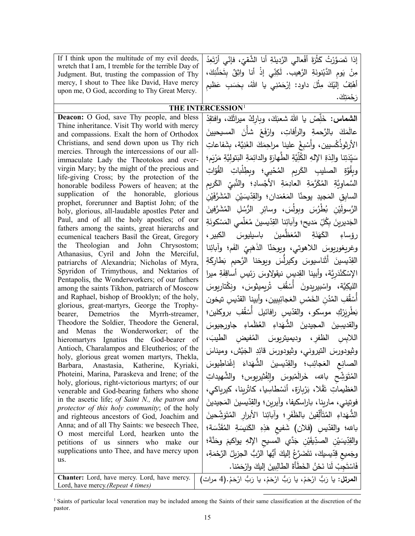| If I think upon the multitude of my evil deeds,                                                      | إذا تَصَوَّرْتُ كَثْرَةَ أَفْعالي الرَّديئَةِ أنا الشَّقيِّ، فإنّي أرْتَعِدُ          |
|------------------------------------------------------------------------------------------------------|---------------------------------------------------------------------------------------|
| wretch that I am, I tremble for the terrible Day of<br>Judgment. But, trusting the compassion of Thy | مِنْ يَومِ الدَّيْنونَةِ الرَّهيبِ. لَكِنِّي إِذْ أَنا واثِقٌ بِتَحَنُّنِكَ،          |
| mercy, I shout to Thee like David, Have mercy                                                        | أَهْتِفُ إليْكَ مِثْلَ داود: إرْحَمْنِي يا اللّٰهُ، بِحَسَبِ عَظْيمِ                  |
| upon me, O God, according to Thy Great Mercy.                                                        | رَحْمَتِكَ.                                                                           |
|                                                                                                      | THE INTERCESSION <sup>1</sup>                                                         |
| <b>Deacon:</b> O God, save Thy people, and bless                                                     | ا <b>لشماس:</b> خَلِّصْ يا اللهُ شعبَكَ، وباركْ ميراثَكَ، وافتقِدْ                    |
| Thine inheritance. Visit Thy world with mercy                                                        |                                                                                       |
| and compassions. Exalt the horn of Orthodox                                                          | عالَمَكَ بالرَّحمةِ والرأفاتِ، وارْفَعْ شأنَ المسيحيينَ                               |
| Christians, and send down upon us Thy rich                                                           | الأرثوذُكْسيين، وأسْبِغْ علينا مراحِمَكَ الغَنِيَّة، بِشَفاعاتِ                       |
| mercies. Through the intercessions of our all-<br>immaculate Lady the Theotokos and ever-            | سَيّدَتِنا والِدَةِ الإِلهِ الكُلِّيّةِ الطّهارَةِ والدائِمَةِ البَتوليَّةِ مَرْبَمٍ؛ |
| virgin Mary; by the might of the precious and                                                        | وبِقُوَّةِ الصليبِ الكَريمِ المُحْيى؛ وبطِلْباتِ القُوّاتِ                            |
| life-giving Cross; by the protection of the                                                          |                                                                                       |
| honorable bodiless Powers of heaven; at the                                                          | السَّماوِيَّةِ   المُكَرَّمَةِ   العادِمَةِ   الأجْسادِ؛    والنَّبيِّ   الكَريم      |
| supplication of the honorable, glorious<br>prophet, forerunner and Baptist John; of the              | السابق المَجيدِ يوحنّا المَعْمَدانِ؛ والقِدّيسَيْنِ المُشَرَّفَيْنِ                   |
| holy, glorious, all-laudable apostles Peter and                                                      | الرَّسولَيْنِ بُطْرُسَ وبولَسَ، وسائِرِ الرُّسُلِ المُشَرَّفينَ                       |
| Paul, and of all the holy apostles; of our                                                           | الْجَديرينَ بِكُلِّ مَديح؛ وآبائِنا القِدِّيسينَ مُعَلِّمى المَسْكونَةِ               |
| fathers among the saints, great hierarchs and<br>ecumenical teachers Basil the Great, Gregory        | رؤساءِ الكَهَنَةِ المُعَظَّمينَ باسيليوسَ الكبيرِ،                                    |
| the Theologian and John Chrysostom;                                                                  | وغريغوريوسَ اللاهوتي، ويوحَنّا الذَهَبِيّ الفَم؛ وأبائِنا                             |
| Athanasius, Cyril and John the Merciful,                                                             |                                                                                       |
| patriarchs of Alexandria; Nicholas of Myra,<br>Spyridon of Trimythous, and Nektarios of              | القِدّيسينَ أَثَناسيوسَ وكيرلِّسَ وبوحَنا الرَّحيم بَطارِكَةِ                         |
| Pentapolis, the Wonderworkers; of our fathers                                                        | الإِسْكَنْدَرِيَّة، وأبينا القِديسِ نيقولِاوسَ رَئِيسِ أَساقِفَةِ ميرا                |
| among the saints Tikhon, patriarch of Moscow                                                         | الليكِيَّة، واسْبيريدونَ أَسْقُفِ تْرِيميثوسَ، ونِكْتاريوسَ                           |
| and Raphael, bishop of Brooklyn; of the holy,                                                        | أَسْقُفِ المُدُنِ الخَمْسِ العَجائِبِيينِ، وأبينا القدّيس تيخون                       |
| glorious, great-martyrs, George the Trophy-<br>bearer, Demetrios the Myrrh-streamer,                 | بَطْرِيَرْكِ موسكو، والقدّيسِ رافائيل أَسْقُفِ بروكلين؛                               |
| Theodore the Soldier, Theodore the General,                                                          | والقديسِينَ المجيدينَ الشُّهَداءِ العُظَماءِ جاورجيوسَ                                |
| and Menas the Wonderworker; of the<br>Ignatius the God-bearer of<br>hieromartyrs                     | اللابس الظفر، وديميتريوسَ المُفيض الطيبَ،                                             |
| Antioch, Charalampos and Eleutherios; of the                                                         | وثيودورسَ التيروني، وثيودورسَ قائِدِ الْجَيْش، وميناسَ                                |
| holy, glorious great women martyrs, Thekla,<br>Anastasia, Katherine, Kyriaki,<br>Barbara,            | الصانِع العَجائِب؛ والقِدّيسينَ الشَّهَداءَ إغْناطِيوسَ                               |
| Photeini, Marina, Paraskeva and Irene; of the                                                        | المُتَوَشِّح بالله، خَرالَمْبوسَ والِفْثيربوس؛ والشَّهيداتِ                           |
| holy, glorious, right-victorious martyrs; of our                                                     | الْعَظْيماتِ تَقْلا، بَرْيارَة، أَنَسْطَاسِيا، كَاتْرِينا، كَيْرِياكِي،               |
| venerable and God-bearing fathers who shone<br>in the ascetic life; of Saint N., the patron and      |                                                                                       |
| <i>protector of this holy community</i> ; of the holy                                                | فوتيني، مارينا، باراسكيفا، وآيرين؛ والقِدّيسينَ المَجيدينَ                            |
| and righteous ancestors of God, Joachim and                                                          | الشُّهَداءِ المُتَأَلِّقِينَ بِالظَفَرِ ؛ وآبائِنا الأبرار المُتَوَشِّحينَ            |
| Anna; and of all Thy Saints: we beseech Thee,                                                        | بالله؛ والقدّيسِ (فلان) شَفيع هَذِهِ الكَنيسَةِ المُقَدَّسَة؛                         |
| O most merciful Lord, hearken unto the<br>petitions of us sinners who make<br>our                    | والقِدِّيسَيْنِ الصدِّيقَيْنِ جَدَّي المسيح الإِلهِ يواكيمَ وحَثَّةَ؛                 |
| supplications unto Thee, and have mercy upon                                                         | وجَميع قِدّيسيكَ، نَتَضَرَّعُ إِليكَ أَيُّها الرَّبُّ الجزيلُ الرَّحْمَةِ،            |
| us.                                                                                                  |                                                                                       |
|                                                                                                      | فَاسْتَجِبْ لَنا نَحْنُ الْخَطَأَةَ الطالبِينَ إِلَيكَ وارْحَمْنا.                    |
| Chanter: Lord, have mercy. Lord, have mercy.<br>Lord, have mercy.(Repeat 4 times)                    | ا <b>لمرتل:</b> يا رَبُّ ارْحَمْ، يا رَبُّ ارْحَمْ، يا رَبُّ ارْحَمْ. (4 مرات)        |

<span id="page-14-0"></span><sup>&</sup>lt;sup>1</sup> Saints of particular local veneration may be included among the Saints of their same classification at the discretion of the pastor.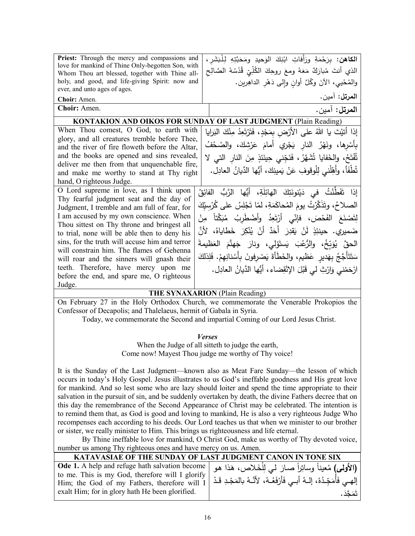| Priest: Through the mercy and compassions and                                                                                                                                                       | ا <b>لكاهن:</b> بِرَحْمَةِ ورَأَفاتِ ابْنِكَ الوَحيدِ ومَحَبَّتِهِ لِلْبَشَرِ ،                                                      |  |
|-----------------------------------------------------------------------------------------------------------------------------------------------------------------------------------------------------|--------------------------------------------------------------------------------------------------------------------------------------|--|
| love for mankind of Thine Only-begotten Son, with<br>Whom Thou art blessed, together with Thine all-                                                                                                | الذي أنتَ مُبارَكٌ مَعَهُ ومعَ روحِكَ الكُلِّيِّ قُدْسُهُ الصَّالِح                                                                  |  |
| holy, and good, and life-giving Spirit: now and                                                                                                                                                     | والمُحْيي، الآنَ وكُلَّ أوانِ وإلى دَهْرِ الداهِرين.                                                                                 |  |
| ever, and unto ages of ages.                                                                                                                                                                        | ا <b>لمرتل:</b> آمين.                                                                                                                |  |
| Choir: Amen.<br>Choir: Amen.                                                                                                                                                                        | ا <b>لمرتل:</b> آمين.                                                                                                                |  |
|                                                                                                                                                                                                     |                                                                                                                                      |  |
| When Thou comest, O God, to earth with                                                                                                                                                              | <b>KONTAKION AND OIKOS FOR SUNDAY OF LAST JUDGMENT (Plain Reading)</b>                                                               |  |
| glory, and all creatures tremble before Thee,                                                                                                                                                       | إذا أتيْتَ يا اللهُ على الأرْضِ بِمَجْدٍ، فَتَرْتَعِدُ مِنْكَ البَرايا                                                               |  |
| and the river of fire floweth before the Altar,                                                                                                                                                     | بأَسْرِها، ونَهْرُ النارِ يَجْرِي أَمامَ عَرْشَكَ، والصُحُفُ                                                                         |  |
| and the books are opened and sins revealed,                                                                                                                                                         | تُفْتَحُ، والخَفايا تُشَهَّرُ ، فَنَجِّني حِينَئذٍ مِنَ النارِ التي لا                                                               |  |
| deliver me then from that unquenchable fire,                                                                                                                                                        |                                                                                                                                      |  |
| and make me worthy to stand at Thy right                                                                                                                                                            | تُطْفَأُ، وأَهِّلْني لِلْوقوفِ عَنْ يَمينِكَ، أَيُّها الدَّيانُ العادِل.                                                             |  |
| hand, O righteous Judge.                                                                                                                                                                            |                                                                                                                                      |  |
| O Lord supreme in love, as I think upon                                                                                                                                                             | إِذا تَفَطَّنْتُ في دَيْنونَتِكَ الهائِلَةِ، أَيُّها الرَّبُّ الفائِقُ                                                               |  |
| Thy fearful judgment seat and the day of<br>Judgment, I tremble and am full of fear, for                                                                                                            | الصـلاحُ، وتَذَكَّرْتُ يومَ المُحاكَمَةِ، لمّا تَجْلِسُ على كُرْسيّكَ                                                                |  |
| I am accused by my own conscience. When                                                                                                                                                             | لِتَصْنَعَ الفَحْصَ، فإنّي أَرْتَعِدُ وأَضْطَرِبُ مُبَكَّتاً مِنْ                                                                    |  |
| Thou sittest on Thy throne and bringest all                                                                                                                                                         |                                                                                                                                      |  |
| to trial, none will be able then to deny his                                                                                                                                                        | ضَميري. حينئِذٍ لَنْ يَقدِرَ أَحَدٌ أَنْ يُنْكِرَ خَطاياهُ، لأَنَّ                                                                   |  |
| sins, for the truth will accuse him and terror                                                                                                                                                      | الْحقَّ يُوَبِّخُ، والرُّعْبَ يَستَوْلِّي، ونارَ جَهنَّمَ العَظيمةَ                                                                  |  |
| will constrain him. The flames of Gehenna                                                                                                                                                           | سَتَتَأَجَّجُ بِهَديرِ عَظيم، والخَطَأَةَ يَصْرِفونَ بِأَسْنانِهِمْ. فَلِذلكَ                                                        |  |
| will roar and the sinners will gnash their<br>teeth. Therefore, have mercy upon me                                                                                                                  |                                                                                                                                      |  |
| before the end, and spare me, O righteous                                                                                                                                                           | ارْحَمْني وَارْثِ لِي قَبْلَ الإِنْقِضاءِ، أَيُّها الدَّيانُ العادِلِ.                                                               |  |
| Judge.                                                                                                                                                                                              |                                                                                                                                      |  |
|                                                                                                                                                                                                     | <b>THE SYNAXARION</b> (Plain Reading)                                                                                                |  |
|                                                                                                                                                                                                     | On February 27 in the Holy Orthodox Church, we commemorate the Venerable Prokopios the                                               |  |
| Confessor of Decapolis; and Thalelaeus, hermit of Gabala in Syria.                                                                                                                                  |                                                                                                                                      |  |
|                                                                                                                                                                                                     | Today, we commemorate the Second and impartial Coming of our Lord Jesus Christ.                                                      |  |
|                                                                                                                                                                                                     | <b>Verses</b>                                                                                                                        |  |
|                                                                                                                                                                                                     | When the Judge of all sitteth to judge the earth,                                                                                    |  |
|                                                                                                                                                                                                     | Come now! Mayest Thou judge me worthy of Thy voice!                                                                                  |  |
|                                                                                                                                                                                                     |                                                                                                                                      |  |
|                                                                                                                                                                                                     | It is the Sunday of the Last Judgment-known also as Meat Fare Sunday-the lesson of which                                             |  |
|                                                                                                                                                                                                     | occurs in today's Holy Gospel. Jesus illustrates to us God's ineffable goodness and His great love                                   |  |
|                                                                                                                                                                                                     | for mankind. And so lest some who are lazy should loiter and spend the time appropriate to their                                     |  |
|                                                                                                                                                                                                     | salvation in the pursuit of sin, and be suddenly overtaken by death, the divine Fathers decree that on                               |  |
| this day the remembrance of the Second Appearance of Christ may be celebrated. The intention is<br>to remind them that, as God is good and loving to mankind, He is also a very righteous Judge Who |                                                                                                                                      |  |
|                                                                                                                                                                                                     | recompenses each according to his deeds. Our Lord teaches us that when we minister to our brother                                    |  |
| or sister, we really minister to Him. This brings us righteousness and life eternal.                                                                                                                |                                                                                                                                      |  |
|                                                                                                                                                                                                     | By Thine ineffable love for mankind, O Christ God, make us worthy of Thy devoted voice,                                              |  |
| number us among Thy righteous ones and have mercy on us. Amen.                                                                                                                                      |                                                                                                                                      |  |
|                                                                                                                                                                                                     | KATAVASIAE OF THE SUNDAY OF LAST JUDGMENT CANON IN TONE SIX                                                                          |  |
|                                                                                                                                                                                                     | Ode 1. A help and refuge hath salvation become $\begin{bmatrix} 1 & 1 \\ 2 & 3 \end{bmatrix}$ is the same in the set of $\mathbf{A}$ |  |

| (الأولى) مُعيناً وساتِراً صـارَ لـى لِلْخَلاص، هَذا هو   Ode 1. A help and refuge hath salvation become<br>to me. This is my God, therefore will I glorify  <br>w me. This is my Ood, mererore will I giorny  <br>Him; the God of my Fathers, therefore will I   أَلْهِـي فَأُمَجِّدُهُ، إِلَـهُ أَبِـي فَأَرْفَعُـهُ، لأَنَّـهُ بِالْمَجْـدِ قَـدْ<br>exalt Him; for in glory hath He been glorified. | تَمَحَّدَ. |
|--------------------------------------------------------------------------------------------------------------------------------------------------------------------------------------------------------------------------------------------------------------------------------------------------------------------------------------------------------------------------------------------------------|------------|
|                                                                                                                                                                                                                                                                                                                                                                                                        |            |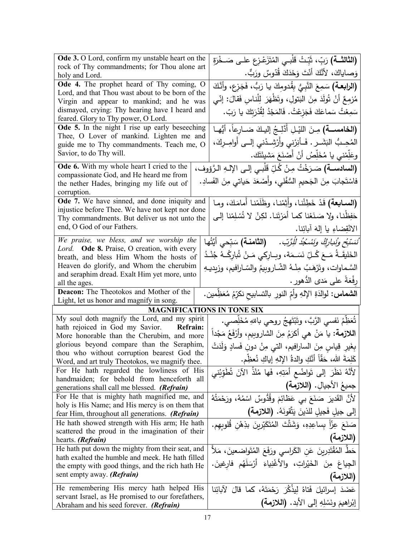| Ode 3. O Lord, confirm my unstable heart on the<br>rock of Thy commandments; for Thou alone art | (ا <b>لثَالثـــة)</b> رَبِّ، شَبِّـتْ قَلْبــي المُتَزَعْـزِع علــى صَــخْرَةِ            |
|-------------------------------------------------------------------------------------------------|-------------------------------------------------------------------------------------------|
| holy and Lord.                                                                                  | وَصاياكَ، لأَنَّكَ أَنْتَ وَحْدَكَ قُدّوسٌ ورَبٌّ.                                        |
| Ode 4. The prophet heard of Thy coming, O                                                       | <b>(الرابعـة)</b> سَمِعَ النَّبِـيُّ بِقُدومِكَ يا رَبُّ، فَجَزع، وأَنَّكَ                |
| Lord, and that Thou wast about to be born of the<br>Virgin and appear to mankind; and he was    | مُزْمِعٌ أَنْ تُولَدَ مِنَ البَتولِ، وتَظْهَرَ لِلْناسِ فَقالَ: إنّي                      |
| dismayed, crying: Thy hearing have I heard and                                                  | سَمِعْتُ سَماعَكَ فَجَزِعْتُ. فَالمَجْدُ لِقُدْرَتِكَ يا رَبّ.                            |
| feared. Glory to Thy power, O Lord.                                                             |                                                                                           |
| Ode 5. In the night I rise up early beseeching                                                  | <b>(الخامســة)</b> مِـنَ اللَّيْـلِ أَدَّلِـجُ إليـكَ ضــارعاً، أَيُّهـا                  |
| Thee, O Lover of mankind. Lighten me and<br>guide me to Thy commandments. Teach me, O           | المُحِــبُّ البَشَــرِ . فَــأَنِرْنيِ وأَرْشِــدْني إلــي أُوامِــرِكَ،                  |
| Savior, to do Thy will.                                                                         | وعَلِّمْني يا مُخَلِّصُ أَنْ أَصْنَعَ مَشيئَتَك.                                          |
| Ode 6. With my whole heart I cried to the                                                       | (ال <b>سادســة)</b> صَـرَخْتُ مِـنْ كُـلِّ قَلْبــى إلــى الإِلــهِ الـرَّؤوف،            |
| compassionate God, and He heard me from                                                         |                                                                                           |
| the nether Hades, bringing my life out of                                                       | فاسْتَجابَ مِنَ الْجَحيمِ السُّفْلي، وأَصْعَدَ حَياتي مِنَ الفَسادِ.                      |
| corruption.<br>Ode 7. We have sinned, and done iniquity and                                     |                                                                                           |
| injustice before Thee. We have not kept nor done                                                | (ال <b>سـابعة)</b> قَدْ خَطِئْنـا، وأثِمْنـا، وظَلَمْنـا أمامَكَ، ومـا                    |
| Thy commandments. But deliver us not unto the                                                   | حَفِظْنا، ولا صَنَعْنا كما أَمَرْتَنا. لكِنْ لا تُسْلِمْنا إلى                            |
| end, O God of our Fathers.                                                                      | الانْقِضاءِ يا إِلهَ أَبَائِنا.                                                           |
| We praise, we bless, and we worship the                                                         | ُنَسَبَّحَ <i>وِنُنبارِكُ وَنَسْكُدُ لِلْرَّبِّ.</i> (ا <b>لثامنـة)</b> سَبِّحى أَيَّتُها |
| Lord. Ode 8. Praise, O creation, with every                                                     | الخَليقَـةُ مَــعَ كُــلِّ نَسَــمَة، وبِــاركي مَــنْ شُارِكُــهُ جُنْــدُ               |
| breath, and bless Him Whom the hosts of<br>Heaven do glorify, and Whom the cherubim             |                                                                                           |
| and seraphim dread. Exalt Him yet more, unto                                                    | السَّماوات، وتَرْهَبُ مِنْـهُ الشَّـاروبيمُ والسّـارافيم، وزيديـهِ                        |
| all the ages.                                                                                   | رفْعَةً على مَدى الدُّهور .                                                               |
| Deacon: The Theotokos and Mother of the                                                         | ا <b>لشماس:</b> لوالدَةِ الإلهِ وأمِّ النورِ بالتسابيح نكرِّمُ مُعَظِّمين.                |
| Light, let us honor and magnify in song.<br><b>MAGNIFICATIONS IN TONE SIX</b>                   |                                                                                           |
| My soul doth magnify the Lord, and my spirit                                                    |                                                                                           |
| hath rejoiced in God my Savior. Refrain:                                                        | تُعَظِّمُ نَفْسي الرَّبَّ، وتَبْتَهِجُ روحي باللهِ مُخَلِّصي.                             |
| More honorable than the Cherubim, and more                                                      | ا <b>للازمة:</b> يا مَنْ هي أكرَمُ مِنَ الشاروبيم، وأَرْفَعُ مَجْداً                      |
| glorious beyond compare than the Seraphim,                                                      | بِغَيرِ قِياسٍ مِنَ السارافيم، التي مِنْ دونِ فَسادٍ وَلَدَتْ                             |
| thou who without corruption bearest God the<br>Word, and art truly Theotokos, we magnify thee.  | كَلِمَةَ الله، حَقًّا أَنَّكِ والدةُ الإِلهِ إياكِ نُعظِم.                                |
| For He hath regarded the lowliness of His                                                       | لِأَنَّهُ نَظَرَ إِلَى تَواضُعٍ أَمَتِهِ، فَها مُنْذُ الآنَ تُطَوِّبُني                   |
| handmaiden; for behold from henceforth all                                                      | جميعُ الأجيالِ. (اللازمة)                                                                 |
| generations shall call me blessed. (Refrain)<br>For He that is mighty hath magnified me, and    |                                                                                           |
| holy is His Name; and His mercy is on them that                                                 | لأنَّ القَديرَ  صَنَعَ بي عَظائِمَ وقُدُّوسٌ  اسْمُهُ، ورَحْمَتُهُ                        |
| fear Him, throughout all generations. (Refrain)                                                 | إلى جيلٍ فَجيلٍ للذينَ يَتَّقونَهُ. <b>(اللازمة)</b>                                      |
| He hath showed strength with His arm; He hath                                                   | صَنَعَ عِزّاً بِساعِدِهِ، وَشَتَّتَ المُتَكَبِّرِينَ بذِهْنِ قُلوبِهِم.                   |
| scattered the proud in the imagination of their                                                 | (اللازمة)                                                                                 |
| hearts. (Refrain)<br>He hath put down the mighty from their seat, and                           |                                                                                           |
| hath exalted the humble and meek. He hath filled                                                | حَطٌّ المُقْتَدِرِينَ عَنِ الكَراسي ورَفَعَ المُتَواضعينَ، مَلأ                           |
| the empty with good things, and the rich hath He                                                | الجياعَ مِنَ الخَيْراتِ، والأغْنِياءَ أَرْسَلَهُم فارغينَ.                                |
| sent empty away. (Refrain)                                                                      | (اللازمة)                                                                                 |
| He remembering His mercy hath helped His                                                        | عَضَدَ إسرائيلَ فَتاهُ لِيذْكُرَ رَحْمَتَهُ، كما قالَ لآبائِنا                            |
| servant Israel, as He promised to our forefathers,                                              | إبْراهيمَ ونَسْلِهِ إلى الأبد. (اللازمة)                                                  |
| Abraham and his seed forever. (Refrain)                                                         |                                                                                           |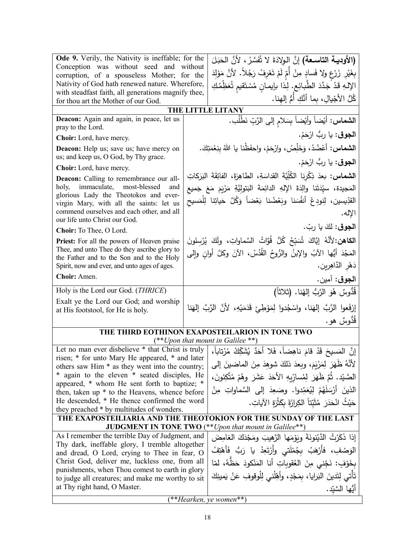| Ode 9. Verily, the Nativity is ineffable; for the                                                  |  | (الأوديــة التاســعة) إنَّ الـولادَةَ لا تُفَسَّرُ ، لأنَّ الـحَبَـلَ                          |
|----------------------------------------------------------------------------------------------------|--|------------------------------------------------------------------------------------------------|
| Conception was without seed and without                                                            |  | بِغَيْرِ زَرْعٍ ولا فَسادٍ مِنْ أُمِّ لَمْ تَعْرِفْ رَجُلاً. لأَنَّ مَوْلِدَ                   |
| corruption, of a spouseless Mother; for the<br>Nativity of God hath renewed nature. Wherefore,     |  | الإلهِ قَدْ جَدَّدَ الطَّبائِعِ. لِذا بإيمانِ مُسْتَقيمِ تُعَظِّمُكِ                           |
| with steadfast faith, all generations magnify thee,                                                |  | كُلُّ الأَجْيالِ، بِما أَنَّكِ أَمُّ إِلْهِنا.                                                 |
| for thou art the Mother of our God.                                                                |  | THE LITTLE LITANY                                                                              |
| Deacon: Again and again, in peace, let us                                                          |  |                                                                                                |
| pray to the Lord.                                                                                  |  | ال <b>شماس:</b> أيْضاً وأيْضاً بِسَلامِ إلى الرَّبِّ نَطْلُب.                                  |
| Choir: Lord, have mercy.                                                                           |  | ا <b>لجوق</b> : يا ربُّ ارْحَمْ.                                                               |
| <b>Deacon:</b> Help us; save us; have mercy on<br>us; and keep us, O God, by Thy grace.            |  | ا <b>لشماس:</b> أعْضُدْ، وَخَلِّصْ، وارْحَمْ، واحفَظْنا يا اللهُ بنِعْمَتِكَ.                  |
| Choir: Lord, have mercy.                                                                           |  | ا <b>لجوق</b> : يا ربُّ ارْحَمْ.                                                               |
| Deacon: Calling to remembrance our all-                                                            |  | ا <b>لشماس:</b> بعدَ ذِكْرِنا الكُلِّيَّةَ القداسَةِ، الطاهِرَةَ، الفائِقَةَ البَرَكاتِ        |
| immaculate, most-blessed<br>holy,<br>and                                                           |  | المَجيدة، سيِّدَتَنا والِدَةَ اﻹلهِ الدائِمَةَ البَتولِيَّةِ مَرْيَمَ مَعَ جَميعِ              |
| glorious Lady the Theotokos and ever-<br>virgin Mary, with all the saints: let us                  |  | القدِّيسين، لِنودِعْ أَنفُسَنا وبَعْضُنا بَعْضاً وَكُلَّ حَياتِنا لِلْمَسيح                    |
| commend ourselves and each other, and all                                                          |  | الإله.                                                                                         |
| our life unto Christ our God.                                                                      |  | ا <b>لجوق:</b> لكَ يا ربّ.                                                                     |
| Choir: To Thee, O Lord.                                                                            |  |                                                                                                |
| <b>Priest:</b> For all the powers of Heaven praise<br>Thee, and unto Thee do they ascribe glory to |  | ا <b>لكاهن:</b> لأَنَّهُ  إيَّاكَ  تُسَبِّحُ  كُلُّ  قُوَّاتُ  السَّماواتِ،  ولَكَ  يُرْسِلونَ |
| the Father and to the Son and to the Holy                                                          |  | المَجْدَ أَيُّها الآبُ والإبنُ والرُّوحُ القُدُسُ، الآنَ وكلَّ أوانِ وإلى                      |
| Spirit, now and ever, and unto ages of ages.                                                       |  | دَهْرِ الدَّاهِرِينِ.                                                                          |
| Choir: Amen.                                                                                       |  | ا <b>لجوق</b> : آمين.                                                                          |
| Holy is the Lord our God. (THRICE)                                                                 |  | قُدُّوسٌ هُوَ الرَّبُّ إلهُنا. (ثلاثاً)                                                        |
| Exalt ye the Lord our God; and worship                                                             |  | إِرْفَعوا الرَّبَّ إِلهَنا، واسْجُدوا لِمَوْطِئٍ قَدَمَيْهِ، لأَنَّ الرَّبَّ إِلهَنا           |
| at His footstool, for He is holy.                                                                  |  | قَدَّوسٌ هو.                                                                                   |
|                                                                                                    |  | THE THIRD EOTHINON EXAPOSTEILARION IN TONE TWO                                                 |
|                                                                                                    |  | $(**Upon$ that mount in Galilee **)                                                            |
| Let no man ever disbelieve $*$ that Christ is truly                                                |  | إِنَّ الْمَسِيحَ قَدْ قَامَ ناهِضاً، فَلا أَحَدٌ يُشَكَّكُ مُرْتَاباً،                         |
| risen; * for unto Mary He appeared, * and later                                                    |  | لِأَنَّهُ ظَهَرَ لِمَرْبَمَ، وبِعدَ ذلكَ شوهدَ مِنَ الماضينَ إلى                               |
| others saw Him * as they went into the country;<br>* again to the eleven * seated disciples, He    |  | الصَّيْدِ. ثُمَّ ظَهَرَ لِمُسارِّبِهِ الأَحَدَ عَشَرَ وهُمْ مُتَّكِئونَ،                       |
| appeared, * whom He sent forth to baptize; *                                                       |  |                                                                                                |
| then, taken up * to the Heavens, whence before                                                     |  | الذينَ أَرْسَلَهُمْ لِيُعَمِّدوا. وصَعِدَ إِلَى السَّماواتِ مِنْ                               |
| He descended, * He thence confirmed the word<br>they preached * by multitudes of wonders.          |  | حَيْثُ انْحَدَرَ مُثَبَّتاً الكِرازَةَ بكَثْرَةِ الآياتِ.                                      |
|                                                                                                    |  | THE EXAPOSTEILIARIA AND THE THEOTOKION FOR THE SUNDAY OF THE LAST                              |
|                                                                                                    |  | <b>JUDGMENT IN TONE TWO</b> (** <i>Upon that mount in Galilee</i> **)                          |
| As I remember the terrible Day of Judgment, and                                                    |  | إِذَا ذَكَرْتُ الدَّيْنُونَةَ وِيَوْمَها الرَّهِيبَ وِمَجْدَكَ الغامِضَ                        |
| Thy dark, ineffable glory, I tremble altogether<br>and dread, O Lord, crying to Thee in fear, O    |  | الوَصْفِ، فَأَرْهَبُ بِجُمْلَتي وأَرْتَعِدُ يا رَبُّ فَأَهْتِفُ                                |
| Christ God, deliver me, luckless one, from all                                                     |  | بِخَوْفٍ: نَجِّنى مِنَ العُقوباتِ أنا المَنْكودَ حَظُّهُ، لمّا                                 |
| punishments, when Thou comest to earth in glory                                                    |  | تَأْتي لِتَدينَ البَرايا، بِمَجْدٍ، وأَهِّلْني لِلْوقوفِ عَنْ يَمينِكَ                         |
| to judge all creatures; and make me worthy to sit<br>at Thy right hand, O Master.                  |  | أَيُّها السَّيِّد.                                                                             |
|                                                                                                    |  | (**Hearken, ye women**)                                                                        |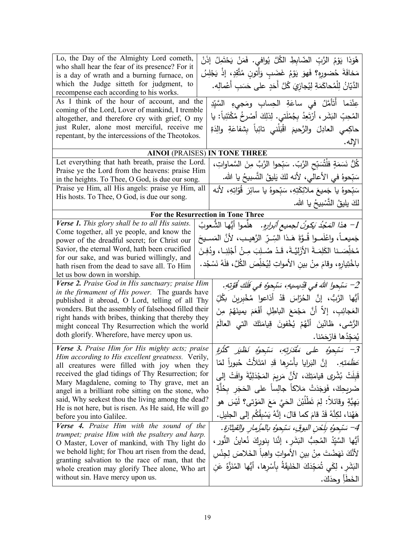| Lo, the Day of the Almighty Lord cometh,<br>who shall hear the fear of its presence? For it                | هُوَذا يَوْمُ الرَّبِّ الضّابِطِ الكُلَّ يُوافي. فَمَنْ يَحْتَمِلُ إِذَنْ                 |
|------------------------------------------------------------------------------------------------------------|-------------------------------------------------------------------------------------------|
| is a day of wrath and a burning furnace, on                                                                | مَخافَةَ حُضورِهِ؟ فَهوَ يَوْمُ غَضَبٍ وَأَتونٍ مُتَّقِدٍ، إذْ يَجْلِسُ                   |
| which the Judge sitteth for judgment, to                                                                   | الدَّيّانُ لِلْمُحاكَمَةِ لِيُجازِيَ كُلَّ أَحَدٍ على حَسَبِ أَعْمالِه.                   |
| recompense each according to his works.                                                                    |                                                                                           |
| As I think of the hour of account, and the<br>coming of the Lord, Lover of mankind, I tremble              | عِنْدَما أَتَأَمَّلُ في ساعَةِ الْحِسابِ ومَجيءِ السَّيِّدِ                               |
| altogether, and therefore cry with grief, O my                                                             | المُحِبِّ النِّشَرِ ، أَرْتَعِدُ بِجُمْلَتي . لِذلِكَ أَصْرِخُ مُكْتَئِباً : يا           |
| just Ruler, alone most merciful, receive me                                                                | حاكِمي العادِلَ والرَّحيمَ اقْبَلْني تائِباً بِشفاعَةِ والِدَةِ                           |
| repentant, by the intercessions of the Theotokos.                                                          | الإله.                                                                                    |
|                                                                                                            | <b>AINOI</b> (PRAISES) IN TONE THREE                                                      |
| Let everything that hath breath, praise the Lord.                                                          | كُلُّ نَسَمَةٍ فلْتُسَبِّحِ الرَّبِّ. سَبِّحوا الرَّبَّ مِنَ السَّماواتِ،                 |
| Praise ye the Lord from the heavens: praise Him                                                            |                                                                                           |
| in the heights. To Thee, O God, is due our song.                                                           | سَبِّحوهُ في الأعالي، لأنه لكَ يَليقُ التَّسبيحُ يا الله.                                 |
| Praise ye Him, all His angels: praise ye Him, all<br>His hosts. To Thee, O God, is due our song.           | سَبّحوهُ يا جَميعَ ملائِكَتِهِ، سَبّحوهُ يا سائِرَ قُوّاتِهِ، لأنه                        |
|                                                                                                            | لكَ يليقُ التَّسْبِيحُ يا الله.                                                           |
|                                                                                                            | For the Resurrection in Tone Three                                                        |
| Verse 1. This glory shall be to all His saints.                                                            | 1− هذ <i>ا المَحْدُ يَكونُ لجميع أبْرارهِ.</i> هلَّموا أيُّها الشَّعوبُ                   |
| Come together, all ye people, and know the<br>power of the dreadful secret; for Christ our                 | جَميعــاً، واعْلَمــوا قُــوَّةَ هَــذا السِّــرِّ الرَّهيــب، لأنَّ المَســيحَ           |
| Savior, the eternal Word, hath been crucified                                                              | مُخلِّصَـنا الكَلِمَـةَ الأَزَليَّـةَ، قَـدْ صُـلِبَ مِـنْ أَجْلِنِـا، ودُفِـنَ           |
| for our sake, and was buried willingly, and                                                                | باخْتِيارِهِ، وقامَ مِنْ بينِ الأمواتِ لِيُخلِّصَ الكُلَّ، فلَهُ نَسْجُد.                 |
| hath risen from the dead to save all. To Him                                                               |                                                                                           |
| let us bow down in worship.<br>Verse 2. Praise God in His sanctuary; praise Him                            | 2– سَبْحوا اللهَ في قَدِيسِيهِ، سَبْحوهُ في قَلَكِ قُوَّتِهِ.                             |
| in the firmament of His power. The guards have                                                             |                                                                                           |
| published it abroad, O Lord, telling of all Thy                                                            | أَيُّها الرَّبُّ، إنَّ الحُرّاسَ قَدْ أذاعوا مُخْبِرِينَ بكُلِّ                           |
| wonders. But the assembly of falsehood filled their<br>right hands with bribes, thinking that thereby they | الْعَجائِبِ، إِلاَّ أَنَّ مَجْمَعَ الْباطِلِ أَفْعَمَ يمِينَهُمْ مِنَ                     |
| might conceal Thy Resurrection which the world                                                             | الرُّشي، ظانّينَ أنَّهُمْ يُخْفونَ قِيامَتَكَ التي العالَمُ                               |
| doth glorify. Wherefore, have mercy upon us.                                                               | يُمَجّدُها فارْحَمْنا.                                                                    |
| Verse 3. Praise Him for His mighty acts; praise                                                            | 3- سَبْحِوُه على مَقْدَرتِهِ، سَبْحِوُه نَظْيَر كَثْرَةِ                                  |
| <i>Him according to His excellent greatness.</i> Verily,<br>all creatures were filled with joy when they   | َع <i>َظَمَتِهِ.</i> إِنَّ ال <sub>َ</sub> بَرايا بِأَسْرِها قَدِ امْتَلاَتْ حُبوراً لمّا |
| received the glad tidings of Thy Resurrection; for                                                         | قَبِلَتْ بُشْرِي قيامَتِكَ، لأَنَّ مَرِيمَ الْمَجْدَلِيَّةَ وافَتْ إِلَى                  |
| Mary Magdalene, coming to Thy grave, met an                                                                | ضَربحِكَ، فَوَجَدَتْ مَلاكاً جالِساً على الحَجَر بِخُلَّةٍ                                |
| angel in a brilliant robe sitting on the stone, who                                                        |                                                                                           |
| said, Why seekest thou the living among the dead?<br>He is not here, but is risen. As He said, He will go  | بَهِيَّةٍ وقائلاً: لِمَ تَطْلُبْنَ الحَيَّ مَعَ المَوْتي؟ لَيْسَ هو                       |
| before you into Galilee.                                                                                   | ِ هَهُنا، لَكِنَّهُ قَدْ قَامَ كما قَالَ، إِنَّهُ يَسْبِقُكُم إِلَى الْجِليلِ.            |
| <b>Verse 4.</b> Praise Him with the sound of the                                                           | 4– سَبّحوُه بلَحْن البوقِ، سَبّحوُه بالمزْمارِ والقيثارَةِ.                               |
| trumpet; praise Him with the psaltery and harp.<br>O Master, Lover of mankind, with Thy light do           | أَيُّها السَّيّدُ المُحِبُّ البَشَرِ ، إنّنا بنوركَ نُعاينُ النُّورِ ،                    |
| we behold light; for Thou art risen from the dead,                                                         | لأَنَّكَ نَهَضْتَ مِنْ بينِ الأمواتِ واهِباً الخَلاصَ لِجِنْسِ                            |
| granting salvation to the race of man, that the                                                            | البَشَرِ ، لِكَى تُمَجِّدَكَ الخَليقَةُ بِأَسْرِها، أَيُّها المُنَزَّهُ عَنِ              |
| whole creation may glorify Thee alone, Who art<br>without sin. Have mercy upon us.                         |                                                                                           |
|                                                                                                            | الخَطَأِ وحدَكَ.                                                                          |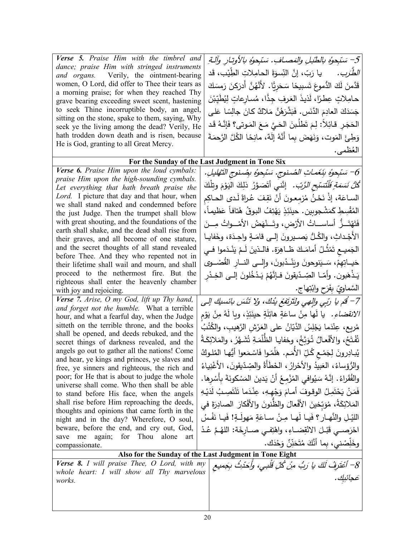| Verse 5. Praise Him with the timbrel and                                                        | 5– سَبْحوُهِ بالطُبلِ والمَصـافِ. سَبْحوُه بالأوتـار وآلـةِ                               |
|-------------------------------------------------------------------------------------------------|-------------------------------------------------------------------------------------------|
| dance; praise Him with stringed instruments                                                     | <i>الطَّرَب.</i> يا رَبّ، إنَّ النِّسوَةَ الحامِلاتِ الطِّيْب، قَد                        |
| and organs. Verily, the ointment-bearing<br>women, O Lord, did offer to Thee their tears as     |                                                                                           |
| a morning praise; for when they reached Thy                                                     | قَدَّمنَ لَكَ الدُّموعَ تَسبيحًا سَحَريًّا. لأَنَّهُنَّ أَدرَكنَ رَمسَكَ                  |
| grave bearing exceeding sweet scent, hastening                                                  | حامِلاتٍ عِطْرًا، لَذيذَ العَرفِ جِدًّا، مُسارعاتٍ لِيُطَيِّبْنَ                          |
| to seek Thine incorruptible body, an angel,                                                     | جَسَدَكَ العادِمَ الدَّنَسِ. فَبَشَّرَهُنَّ مَلاكٌ كانَ جالِسًا عَلى                      |
| sitting on the stone, spake to them, saying, Why                                                | الحَجَرِ قَائِلاً: لِمَ تَطْلُبنَ الْحَيَّ مَعَ الْمَوتِي؟ فَإِنَّهُ قَد                  |
| seek ye the living among the dead? Verily, He<br>hath trodden down death and is risen, because  |                                                                                           |
| He is God, granting to all Great Mercy.                                                         | وَطِئَ المَوت، وَنَهَضَ بما أَنَّهُ إِلَهٌ، مانِحًا الكُلَّ الرَّحمَةَ                    |
|                                                                                                 | العُظمى.                                                                                  |
|                                                                                                 | For the Sunday of the Last Judgment in Tone Six                                           |
| Verse 6. Praise Him upon the loud cymbals:                                                      | 6– سَبْحِوُه بِنَغَماتِ الصُنوجِ. سَبْحِوُه بِصُنوجِ النَّهْليلِ.                         |
| praise Him upon the high-sounding cymbals.                                                      |                                                                                           |
| Let everything that hath breath praise the                                                      | <i>كُلُّ نَسَمَةٍ فَلْتُسَبِّحِ الرَّبِّ.</i> إنَّني أَتَصَوَّرُ  ذَلِكَ اليَوْمَ وتِلْكَ |
| Lord. I picture that day and that hour, when<br>we shall stand naked and condemned before       | الساعَة، إذْ نَحْنُ مُزمِعونَ أنْ نَقِفَ عُراةً لَدى الحـاكِم                             |
| the just Judge. Then the trumpet shall blow                                                     | المُقْسِطِ كَمَشْجوبِين. حينَئِذٍ يَهْتِفُ البوقُ هُتافاً عَظيماً،                        |
| with great shouting, and the foundations of the                                                 | فَتَهْتَــزُ ۚ أَساســـاتُ الأرْض، وتَـــنْهَضُ الأَمْـــواتُ مِـــنَ                     |
| earth shall shake, and the dead shall rise from<br>their graves, and all become of one stature, | الأجْداثِ، والكُلُّ يَصــيرونَ إلــي قامَــةٍ واحِـدَة، وخَفايــا                         |
| and the secret thoughts of all stand revealed                                                   | الجَميــع تَمْثُـلُ أمامَـكَ ظــاهِرَة. فالــذينَ لَـمْ يَنْـدَموا فــي                   |
| before Thee. And they who repented not in                                                       | حَيــاتِهِمْ، سَــيَنوحونَ ويَنْــدُبونَ، وإلـــي النـــارِ القُصْـــوى                   |
| their lifetime shall wail and mourn, and shall<br>proceed to the nethermost fire. But the       |                                                                                           |
| righteous shall enter the heavenly chamber                                                      | يَـذْهَبون. وأمّــا الصِّــدّيقونَ فــإنَّهُمْ يَـدْخُلونَ إلــي الخِـدْر                 |
| with joy and rejoicing.                                                                         | السَّماويِّ بِفَرَحٍ وابْتِهاجٍ.                                                          |
| Verse 7. Arise, O my God, lift up Thy hand,<br>and forget not the humble. What a terrible       | 7– قُمْ يا ربّي والهي ولتَرتفعْ يدُكّ، ولا تَنْسَ بائسيكَ إلى                             |
| hour, and what a fearful day, when the Judge                                                    | <i>الانقضاءِ.</i> يا لَها مِنْ ساعَةٍ هائِلَةٍ حينَئِذٍ، ويا لَهُ مِنْ يَوْم              |
| sitteth on the terrible throne, and the books                                                   | مُريع، عِنْدَما يَجْلِسُ الدَّيّانُ على العَرْشِ الرَّهيبِ، والكُتُبُ                     |
| shall be opened, and deeds rebuked, and the<br>secret things of darkness revealed, and the      | تُفْتَحُ، والأفْعالُ تُوَبَّخُ، وخفايـا الظُّلْمَـةِ تُشَـهَّرُ ، والمَلائِكَـةُ          |
| angels go out to gather all the nations! Come                                                   | يُبادِرونَ لِجَمْعٍ كُلِّ الأَمَمِ. هَلُمّوا فَاسْمَعوا أَيُّها المُلوكُ                  |
| and hear, ye kings and princes, ye slaves and<br>free, ye sinners and righteous, the rich and   | والرُّؤساءُ، العَبِيدُ والأَحْرارُ ، الخَطَأَةُ والصّدّيقونَ، الأَغْنِياءُ                |
| poor; for He that is about to judge the whole                                                   | والفُقَراءُ. إنَّهُ سَيُوافي المُزْمِعُ أَنْ يَدينَ المَسْكونَةَ بِأَسْرِها.              |
| universe shall come. Who then shall be able                                                     |                                                                                           |
| to stand before His face, when the angels                                                       | فَمَنْ يَحْتَمِلُ الوقوفَ أمامَ وَجْهـهِ، عِنْدَما تَنْتَصِـبُ لَدَيْـهِ                  |
| shall rise before Him reproaching the deeds,<br>thoughts and opinions that came forth in the    | المَلائِكَةُ، مُوَبِّخينَ الأفْعالَ والظُّنونَ والأفْكارَ الصادِرَةَ في                   |
| night and in the day? Wherefore, O soul,                                                        | اللَّيْـلِ والنَّهـارِ ؟ فَيـا لَهـا مِـنْ سـاعَةٍ مَهولَـةٍ! فَيـا نَفْسُ                |
| beware, before the end, and cry out, God,                                                       | اخْرَصــي قَبْـلَ الانْقِضــاءِ ، واهْتِفــي صــارخَة: اللَّهُـمَّ عُـدْ                  |
| Thou<br>again;<br>for<br>alone<br>save me<br>art                                                |                                                                                           |
| compassionate.                                                                                  | وخَلِّصْني، بِما أَنَّكَ مُتَحَنِّنٌ وَحْدَك.                                             |
|                                                                                                 | Also for the Sunday of the Last Judgment in Tone Eight                                    |
| Verse 8. I will praise Thee, O Lord, with my<br>whole heart: I will show all Thy marvelous      | 8– أَعْتَرِفُ لَكَ يا رَبُّ مِنْ كُلِّ قَلْبِي، وَأَحَدِثُ بِجميعِ                        |
| works.                                                                                          | عَجائِبِكِ .                                                                              |
|                                                                                                 |                                                                                           |
|                                                                                                 |                                                                                           |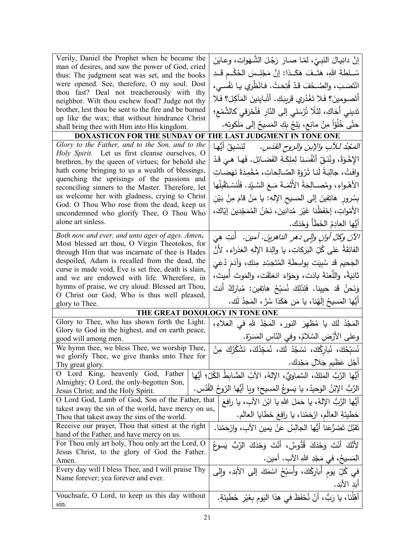| Verily, Daniel the Prophet when he became the                                                       | إِنَّ دانِيالَ النَّبِيَّ، لمّا صـارَ رَجُلَ الشَّهَواتِ، وعـايَنَ               |  |
|-----------------------------------------------------------------------------------------------------|----------------------------------------------------------------------------------|--|
| man of desires, and saw the power of God, cried                                                     |                                                                                  |  |
| thus: The judgment seat was set, and the books                                                      | سُــلطةَ اللهِ، هَتَــفَ هَكَــذا: إنَّ مَجْلِــسَ الـحُكْــم قَــدِ             |  |
| were opened. See, therefore, O my soul. Dost                                                        | انْتَصَبَ، والصُـحُفَ قَدْ فُتِحَتْ. فـانْظُرِي يـا نَفْسـى،                     |  |
| thou fast? Deal not treacherously with thy<br>neighbor. Wilt thou eschew food? Judge not thy        | أَتَصومينَ؟ فَلا تَغْدُرِي قَرِيبَكِ. أَتُبايِنينَ المَآكِلَ؟ فَلا               |  |
| brother, lest thou be sent to the fire and be burned                                                | تَديني أخاكِ، لِئَلّا تُرْسَلي إلى النّارِ فَتُحْرَقي كالشَّمْع؛                 |  |
| up like the wax; that without hindrance Christ                                                      |                                                                                  |  |
| shall bring thee with Him into His kingdom.                                                         | حتَّى خُلُوّاً مِنْ مانِع، يَلِجُ بِكِ الْمَسيحُ إلى مَلَكوتِه.                  |  |
|                                                                                                     | DOXASTICON FOR THE SUNDAY OF THE LAST JUDGMENT IN TONE ONE                       |  |
| Glory to the Father, and to the Son, and to the                                                     | <i>المَجْذُ للأَبِ والإبنِ والروح القدَسِ.</i> لِنَسْبِقْ أَيُّها                |  |
| Holy Spirit. Let us first cleanse ourselves, O<br>brethren, by the queen of virtues; for behold she | الإِخْوَةُ، ونُنَقّ أَنْفُسَنا لِمَلِكَةِ الفَضائِل. فَها هيَ قَدْ               |  |
| hath come bringing to us a wealth of blessings,                                                     | وافَتْ، جالِبَةً لَنا ثَرْوَةَ الصَّالِحاتِ، مُخْمِدَةً نَهَضاتِ                 |  |
| quenching the uprisings of the passions and<br>reconciling sinners to the Master. Therefore, let    | الأهْـواءِ، ومُصــالِحَةَ الأَثَمَــةَ مَــعَ السَّـيِّد. فَلْنَسْتَقْبِلْها     |  |
| us welcome her with gladness, crying to Christ                                                      | بِسُرورِ ۖ هاتِفينَ إلى المَسيحِ اﻹلهِ: يا مَنْ قامَ مِنْ بَيْنِ                 |  |
| God: O Thou Who rose from the dead, keep us<br>uncondemned who glorify Thee, O Thou Who             | الأَمْواتِ، إِحْفَظْنا غَيْرَ مُدانينَ، نَحْنُ الْمُمَجِّدينَ إِيّاكَ،           |  |
| alone art sinless.                                                                                  | أَيُّها العادِمُ الخَطَأُ وَحْدَك.                                               |  |
| Both now and ever, and unto ages of ages. Amen.                                                     | الآنَ وكلَّ أوانِ والِي دهرِ الداهرينَ. آمينَ.  أنتِ هِيَ                        |  |
| Most blessed art thou, O Virgin Theotokos, for<br>through Him that was incarnate of thee is Hades   | الفائِقَةُ عَلى كُلِّ البَرَكاتِ، يا والِدَةَ الإِلَهِ العَذراءِ، لأَنَّ         |  |
| despoiled, Adam is recalled from the dead, the                                                      |                                                                                  |  |
| curse is made void, Eve is set free, death is slain,                                                | الْجَحيمَ قَد سُبِيَت بِواسِطَةِ الْمُتَجَسِّدِ مِنكِ، وَآدَمَ دُعِيَ            |  |
| and we are endowed with life. Wherefore, in                                                         | ثانِيَةً، واللَّعنَةَ بادَت، وَحَوّاءَ انعَتَقَت، والمَوتَ أميتَ،                |  |
| hymns of praise, we cry aloud: Blessed art Thou,                                                    | وَنَحنُ قَد حَيينا. فَلِذَلِكَ نُسَبِّحُ هاتِفين: مُبارَكٌ أَنتَ                 |  |
| O Christ our God, Who is thus well pleased,<br>glory to Thee.                                       | أَيُّها المَسيحُ إِلَهُنا، يا مَن هَكَذا سُرَّ ، المَجدُ لَك.                    |  |
| THE GREAT DOXOLOGY IN TONE ONE                                                                      |                                                                                  |  |
| Glory to Thee, who has shown forth the Light.                                                       | المَجْدُ لَكَ يا مُظهرَ النورِ ، المَجْدُ للهِ في العَلاءِ،                      |  |
| Glory to God in the highest, and on earth peace,<br>good will among men.                            | وعلى الأرْضِ السَّلامُ، وفي النَّاسِ المَسَرَّة.                                 |  |
| We hymn thee, we bless Thee, we worship Thee,                                                       | نُسَبّحُكَ، نُبارِكُكَ، نَسْجُدُ لَكَ، نُمَجّدُكَ، نَشْكُرُكَ مِنْ               |  |
| we glorify Thee, we give thanks unto Thee for                                                       |                                                                                  |  |
| Thy great glory.                                                                                    | أَجْلِ عَظْيم جَلالٍ مَجْدِك.                                                    |  |
| O Lord King, heavenly God, Father                                                                   | أَيُّها الرَّبُّ المَلِكُ، السَّماويُّ، الإِلهُ، الآبُ الضَّابطُ الكُلِّ؛ أيُّها |  |
| Almighty; O Lord, the only-begotten Son,<br>Jesus Christ; and the Holy Spirit.                      | الرَّبُّ الإِبْنُ الوَحيدُ، يا يَسوعُ المَسيح؛ ويا أَيُّها الرّوحُ القُدُس.      |  |
| O Lord God, Lamb of God, Son of the Father, that                                                    | أَيُّها الرَّبُّ اﻹلهُ، يا حَمَلَ اللهِ يا ابْنَ اﻵبٍ، يا رافِعَ                 |  |
| takest away the sin of the world, have mercy on us,                                                 | خطيئةِ العالَمِ، ارْحَمْنا، يا رافِعَ خَطايا العالَمِ.                           |  |
| Thou that takest away the sins of the world.<br>Receive our prayer, Thou that sittest at the right  |                                                                                  |  |
| hand of the Father, and have mercy on us.                                                           | نَقَبَّلْ تَضَرُّعَنا أَيُّها الْجالِسُ عَنْ يَمينِ الآبِ، وارْحَمْنا.           |  |
| For Thou only art holy, Thou only art the Lord, O                                                   | لأَنَّكَ أَنْتَ وَحْدَكَ قُدُّوسٌ، أَنْتَ وَحْدَكَ الرَّبُ يَسوعُ                |  |
| Jesus Christ, to the glory of God the Father.<br>Amen.                                              | المَسيحُ، في مَجْدِ اللهِ الآبِ. آمين.                                           |  |
| Every day will I bless Thee, and I will praise Thy                                                  | في كُلِّ يَومٍ أَبارِكُكَ، وأُسَبِّحُ اسْمَكَ إلى الأَبَدِ، وإلى                 |  |
| Name forever; yea forever and ever.                                                                 |                                                                                  |  |
|                                                                                                     |                                                                                  |  |
| Vouchsafe, O Lord, to keep us this day without                                                      | أَهِّلْنا، يا رَبُّ، أَنْ نُحْفَظَ في هذا النَومِ بِغَيْرِ خَطيئةٍ.              |  |
| sin.                                                                                                |                                                                                  |  |